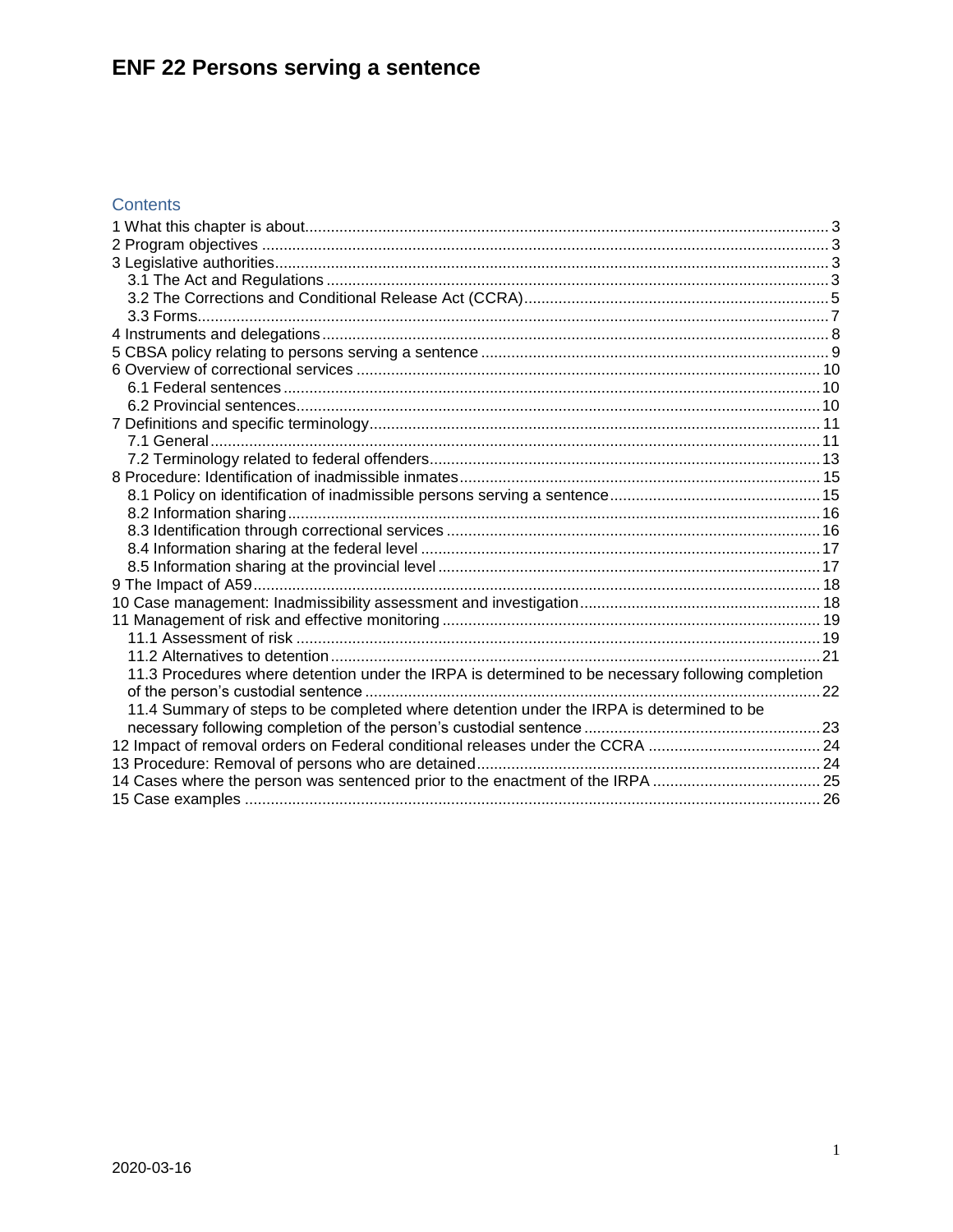### Contents

| 11.3 Procedures where detention under the IRPA is determined to be necessary following completion |  |
|---------------------------------------------------------------------------------------------------|--|
|                                                                                                   |  |
| 11.4 Summary of steps to be completed where detention under the IRPA is determined to be          |  |
|                                                                                                   |  |
|                                                                                                   |  |
|                                                                                                   |  |
| 14 Cases where the person was sentenced prior to the enactment of the IRPA 25                     |  |
|                                                                                                   |  |
|                                                                                                   |  |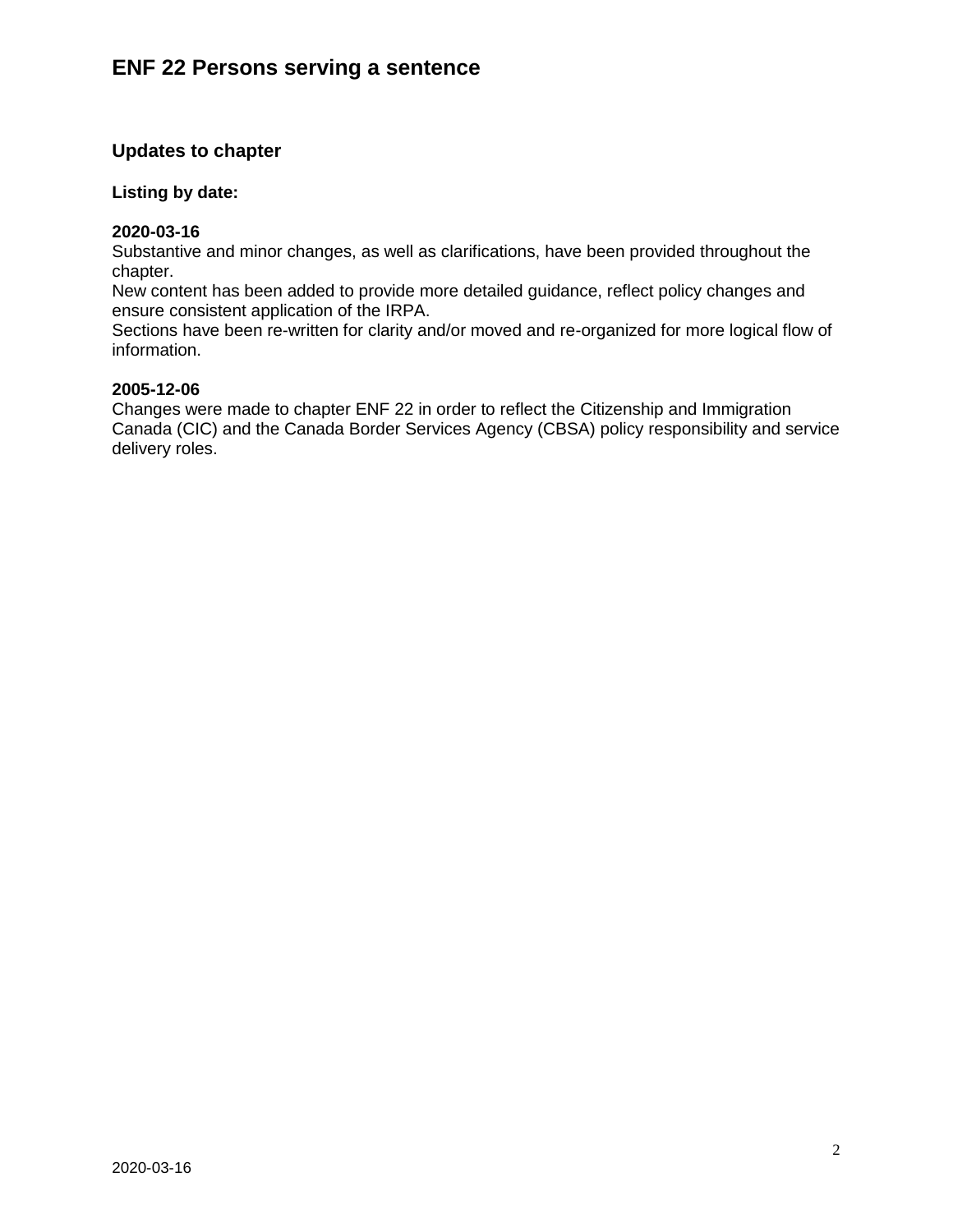### **Updates to chapter**

#### **Listing by date:**

#### **2020-03-16**

Substantive and minor changes, as well as clarifications, have been provided throughout the chapter.

New content has been added to provide more detailed guidance, reflect policy changes and ensure consistent application of the IRPA.

Sections have been re-written for clarity and/or moved and re-organized for more logical flow of information.

#### **2005-12-06**

Changes were made to chapter ENF 22 in order to reflect the Citizenship and Immigration Canada (CIC) and the Canada Border Services Agency (CBSA) policy responsibility and service delivery roles.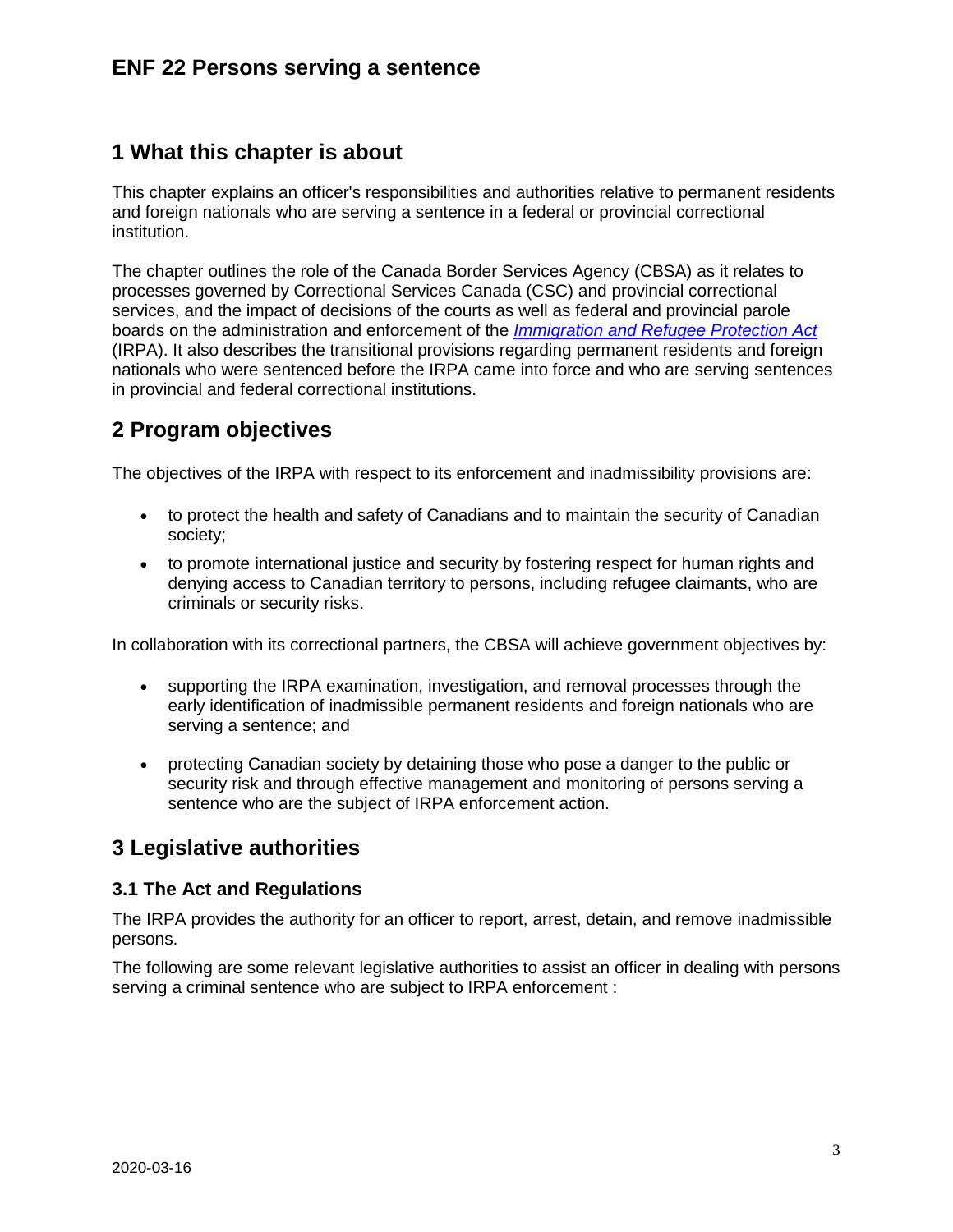# <span id="page-2-0"></span>**1 What this chapter is about**

This chapter explains an officer's responsibilities and authorities relative to permanent residents and foreign nationals who are serving a sentence in a federal or provincial correctional institution.

The chapter outlines the role of the Canada Border Services Agency (CBSA) as it relates to processes governed by Correctional Services Canada (CSC) and provincial correctional services, and the impact of decisions of the courts as well as federal and provincial parole boards on the administration and enforcement of the *[Immigration and Refugee Protection Act](https://laws-lois.justice.gc.ca/eng/acts/i-2.5/)* (IRPA). It also describes the transitional provisions regarding permanent residents and foreign nationals who were sentenced before the IRPA came into force and who are serving sentences in provincial and federal correctional institutions.

# <span id="page-2-1"></span>**2 Program objectives**

The objectives of the IRPA with respect to its enforcement and inadmissibility provisions are:

- to protect the health and safety of Canadians and to maintain the security of Canadian society;
- to promote international justice and security by fostering respect for human rights and denying access to Canadian territory to persons, including refugee claimants, who are criminals or security risks.

In collaboration with its correctional partners, the CBSA will achieve government objectives by:

- supporting the IRPA examination, investigation, and removal processes through the early identification of inadmissible permanent residents and foreign nationals who are serving a sentence; and
- protecting Canadian society by detaining those who pose a danger to the public or security risk and through effective management and monitoring of persons serving a sentence who are the subject of IRPA enforcement action.

# <span id="page-2-2"></span>**3 Legislative authorities**

### <span id="page-2-3"></span>**3.1 The Act and Regulations**

The IRPA provides the authority for an officer to report, arrest, detain, and remove inadmissible persons.

The following are some relevant legislative authorities to assist an officer in dealing with persons serving a criminal sentence who are subject to IRPA enforcement :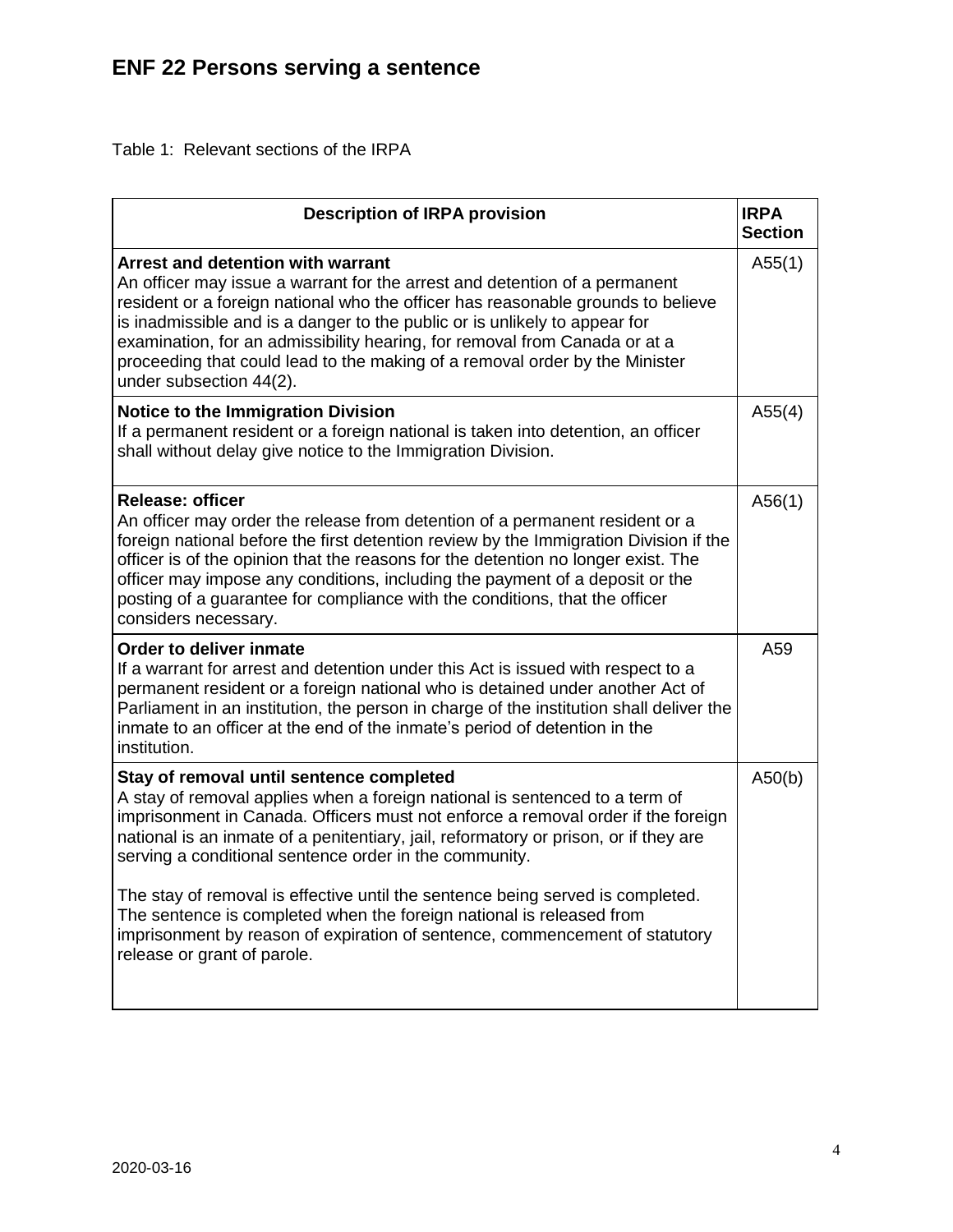Table 1: Relevant sections of the IRPA

| <b>Description of IRPA provision</b>                                                                                                                                                                                                                                                                                                                                                                                                                                         | <b>IRPA</b><br><b>Section</b> |
|------------------------------------------------------------------------------------------------------------------------------------------------------------------------------------------------------------------------------------------------------------------------------------------------------------------------------------------------------------------------------------------------------------------------------------------------------------------------------|-------------------------------|
| Arrest and detention with warrant<br>An officer may issue a warrant for the arrest and detention of a permanent<br>resident or a foreign national who the officer has reasonable grounds to believe<br>is inadmissible and is a danger to the public or is unlikely to appear for<br>examination, for an admissibility hearing, for removal from Canada or at a<br>proceeding that could lead to the making of a removal order by the Minister<br>under subsection 44(2).    | A55(1)                        |
| <b>Notice to the Immigration Division</b><br>If a permanent resident or a foreign national is taken into detention, an officer<br>shall without delay give notice to the Immigration Division.                                                                                                                                                                                                                                                                               | A55(4)                        |
| <b>Release: officer</b><br>An officer may order the release from detention of a permanent resident or a<br>foreign national before the first detention review by the Immigration Division if the<br>officer is of the opinion that the reasons for the detention no longer exist. The<br>officer may impose any conditions, including the payment of a deposit or the<br>posting of a guarantee for compliance with the conditions, that the officer<br>considers necessary. | A56(1)                        |
| Order to deliver inmate<br>If a warrant for arrest and detention under this Act is issued with respect to a<br>permanent resident or a foreign national who is detained under another Act of<br>Parliament in an institution, the person in charge of the institution shall deliver the<br>inmate to an officer at the end of the inmate's period of detention in the<br>institution.                                                                                        | A59                           |
| Stay of removal until sentence completed<br>A stay of removal applies when a foreign national is sentenced to a term of<br>imprisonment in Canada. Officers must not enforce a removal order if the foreign<br>national is an inmate of a penitentiary, jail, reformatory or prison, or if they are<br>serving a conditional sentence order in the community.                                                                                                                | A50(b)                        |
| The stay of removal is effective until the sentence being served is completed.<br>The sentence is completed when the foreign national is released from<br>imprisonment by reason of expiration of sentence, commencement of statutory<br>release or grant of parole.                                                                                                                                                                                                         |                               |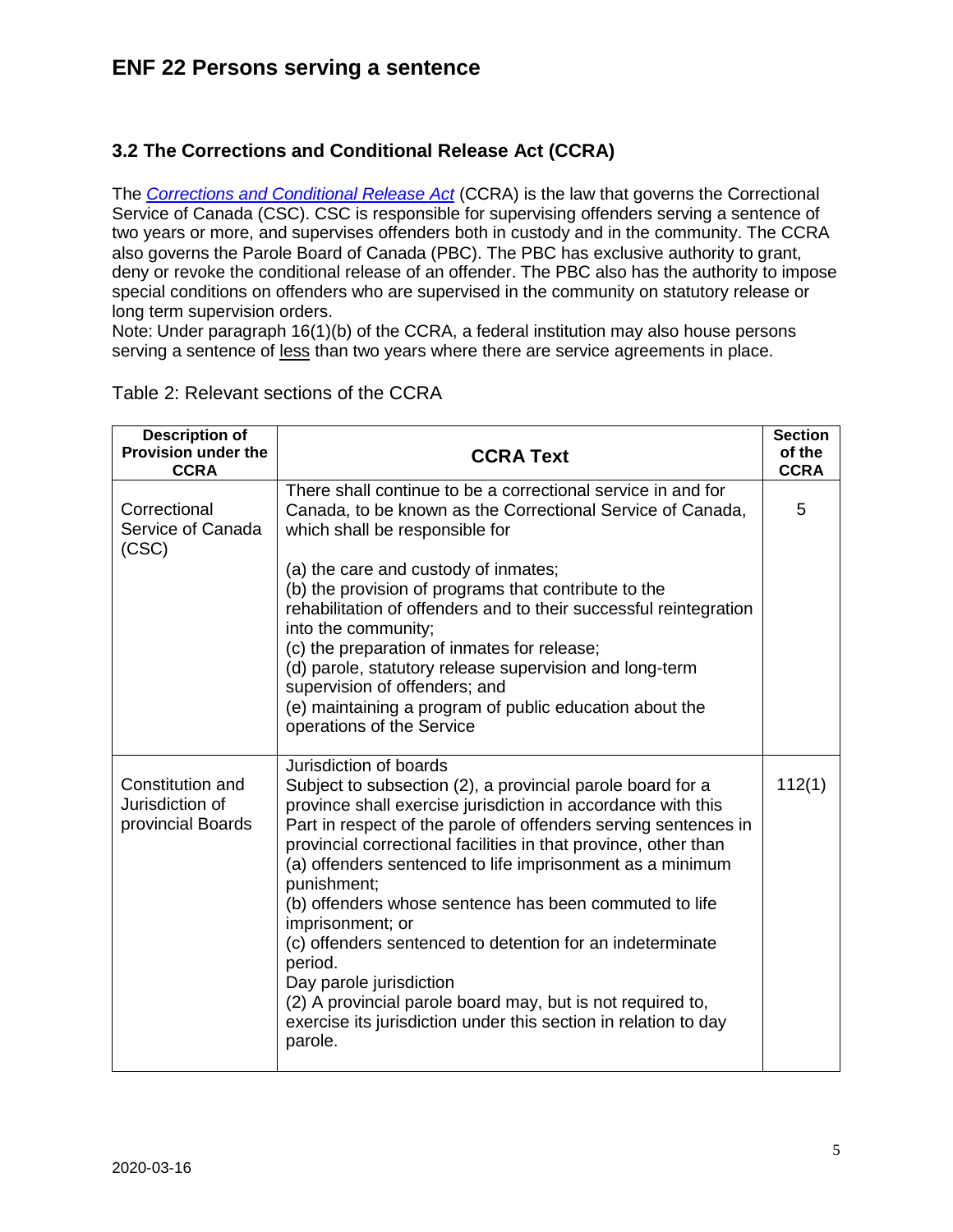### <span id="page-4-0"></span>**3.2 The Corrections and Conditional Release Act (CCRA)**

The *[Corrections and Conditional Release Act](https://laws-lois.justice.gc.ca/eng/acts/c-44.6/)* (CCRA) is the law that governs the Correctional Service of Canada (CSC). CSC is responsible for supervising offenders serving a sentence of two years or more, and supervises offenders both in custody and in the community. The CCRA also governs the Parole Board of Canada (PBC). The PBC has exclusive authority to grant, deny or revoke the conditional release of an offender. The PBC also has the authority to impose special conditions on offenders who are supervised in the community on statutory release or long term supervision orders.

Note: Under paragraph 16(1)(b) of the CCRA, a federal institution may also house persons serving a sentence of less than two years where there are service agreements in place.

| <b>Description of</b><br><b>Provision under the</b><br><b>CCRA</b> | <b>CCRA Text</b>                                                                                                                                                                                                                                                                                                                                                                                                                                                                                                                                                                                                                                                                                    | <b>Section</b><br>of the<br><b>CCRA</b> |
|--------------------------------------------------------------------|-----------------------------------------------------------------------------------------------------------------------------------------------------------------------------------------------------------------------------------------------------------------------------------------------------------------------------------------------------------------------------------------------------------------------------------------------------------------------------------------------------------------------------------------------------------------------------------------------------------------------------------------------------------------------------------------------------|-----------------------------------------|
| Correctional<br>Service of Canada<br>(CSC)                         | There shall continue to be a correctional service in and for<br>Canada, to be known as the Correctional Service of Canada,<br>which shall be responsible for                                                                                                                                                                                                                                                                                                                                                                                                                                                                                                                                        | 5                                       |
|                                                                    | (a) the care and custody of inmates;<br>(b) the provision of programs that contribute to the<br>rehabilitation of offenders and to their successful reintegration<br>into the community;<br>(c) the preparation of inmates for release;<br>(d) parole, statutory release supervision and long-term<br>supervision of offenders; and<br>(e) maintaining a program of public education about the<br>operations of the Service                                                                                                                                                                                                                                                                         |                                         |
| Constitution and<br>Jurisdiction of<br>provincial Boards           | Jurisdiction of boards<br>Subject to subsection (2), a provincial parole board for a<br>province shall exercise jurisdiction in accordance with this<br>Part in respect of the parole of offenders serving sentences in<br>provincial correctional facilities in that province, other than<br>(a) offenders sentenced to life imprisonment as a minimum<br>punishment;<br>(b) offenders whose sentence has been commuted to life<br>imprisonment; or<br>(c) offenders sentenced to detention for an indeterminate<br>period.<br>Day parole jurisdiction<br>(2) A provincial parole board may, but is not required to,<br>exercise its jurisdiction under this section in relation to day<br>parole. | 112(1)                                  |

Table 2: Relevant sections of the CCRA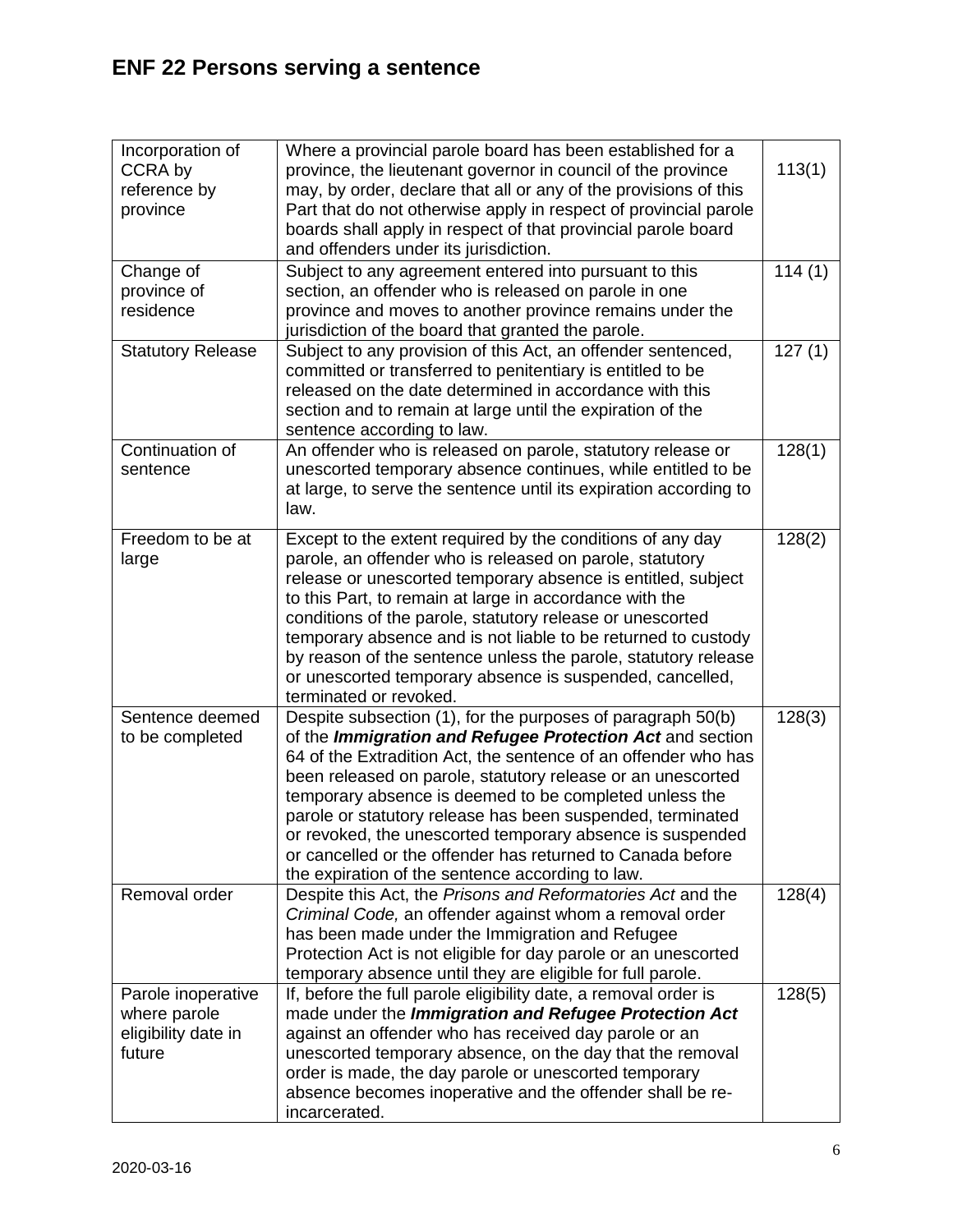| Incorporation of         | Where a provincial parole board has been established for a                                                                       |        |
|--------------------------|----------------------------------------------------------------------------------------------------------------------------------|--------|
| CCRA by                  | province, the lieutenant governor in council of the province<br>may, by order, declare that all or any of the provisions of this | 113(1) |
| reference by<br>province | Part that do not otherwise apply in respect of provincial parole                                                                 |        |
|                          | boards shall apply in respect of that provincial parole board                                                                    |        |
|                          | and offenders under its jurisdiction.                                                                                            |        |
| Change of                | Subject to any agreement entered into pursuant to this                                                                           | 114(1) |
| province of              | section, an offender who is released on parole in one                                                                            |        |
| residence                | province and moves to another province remains under the                                                                         |        |
|                          | jurisdiction of the board that granted the parole.                                                                               |        |
| <b>Statutory Release</b> | Subject to any provision of this Act, an offender sentenced,                                                                     | 127(1) |
|                          | committed or transferred to penitentiary is entitled to be                                                                       |        |
|                          | released on the date determined in accordance with this                                                                          |        |
|                          | section and to remain at large until the expiration of the<br>sentence according to law.                                         |        |
| Continuation of          | An offender who is released on parole, statutory release or                                                                      | 128(1) |
| sentence                 | unescorted temporary absence continues, while entitled to be                                                                     |        |
|                          | at large, to serve the sentence until its expiration according to                                                                |        |
|                          | law.                                                                                                                             |        |
| Freedom to be at         | Except to the extent required by the conditions of any day                                                                       | 128(2) |
| large                    | parole, an offender who is released on parole, statutory                                                                         |        |
|                          | release or unescorted temporary absence is entitled, subject                                                                     |        |
|                          | to this Part, to remain at large in accordance with the                                                                          |        |
|                          | conditions of the parole, statutory release or unescorted                                                                        |        |
|                          | temporary absence and is not liable to be returned to custody                                                                    |        |
|                          | by reason of the sentence unless the parole, statutory release                                                                   |        |
|                          | or unescorted temporary absence is suspended, cancelled,<br>terminated or revoked.                                               |        |
| Sentence deemed          | Despite subsection (1), for the purposes of paragraph 50(b)                                                                      | 128(3) |
| to be completed          | of the <i>Immigration and Refugee Protection Act</i> and section                                                                 |        |
|                          | 64 of the Extradition Act, the sentence of an offender who has                                                                   |        |
|                          | been released on parole, statutory release or an unescorted                                                                      |        |
|                          | temporary absence is deemed to be completed unless the                                                                           |        |
|                          | parole or statutory release has been suspended, terminated                                                                       |        |
|                          | or revoked, the unescorted temporary absence is suspended                                                                        |        |
|                          | or cancelled or the offender has returned to Canada before                                                                       |        |
| Removal order            | the expiration of the sentence according to law.                                                                                 |        |
|                          | Despite this Act, the Prisons and Reformatories Act and the<br>Criminal Code, an offender against whom a removal order           | 128(4) |
|                          | has been made under the Immigration and Refugee                                                                                  |        |
|                          | Protection Act is not eligible for day parole or an unescorted                                                                   |        |
|                          | temporary absence until they are eligible for full parole.                                                                       |        |
| Parole inoperative       | If, before the full parole eligibility date, a removal order is                                                                  | 128(5) |
| where parole             | made under the Immigration and Refugee Protection Act                                                                            |        |
| eligibility date in      | against an offender who has received day parole or an                                                                            |        |
| future                   | unescorted temporary absence, on the day that the removal                                                                        |        |
|                          | order is made, the day parole or unescorted temporary                                                                            |        |
|                          | absence becomes inoperative and the offender shall be re-<br>incarcerated.                                                       |        |
|                          |                                                                                                                                  |        |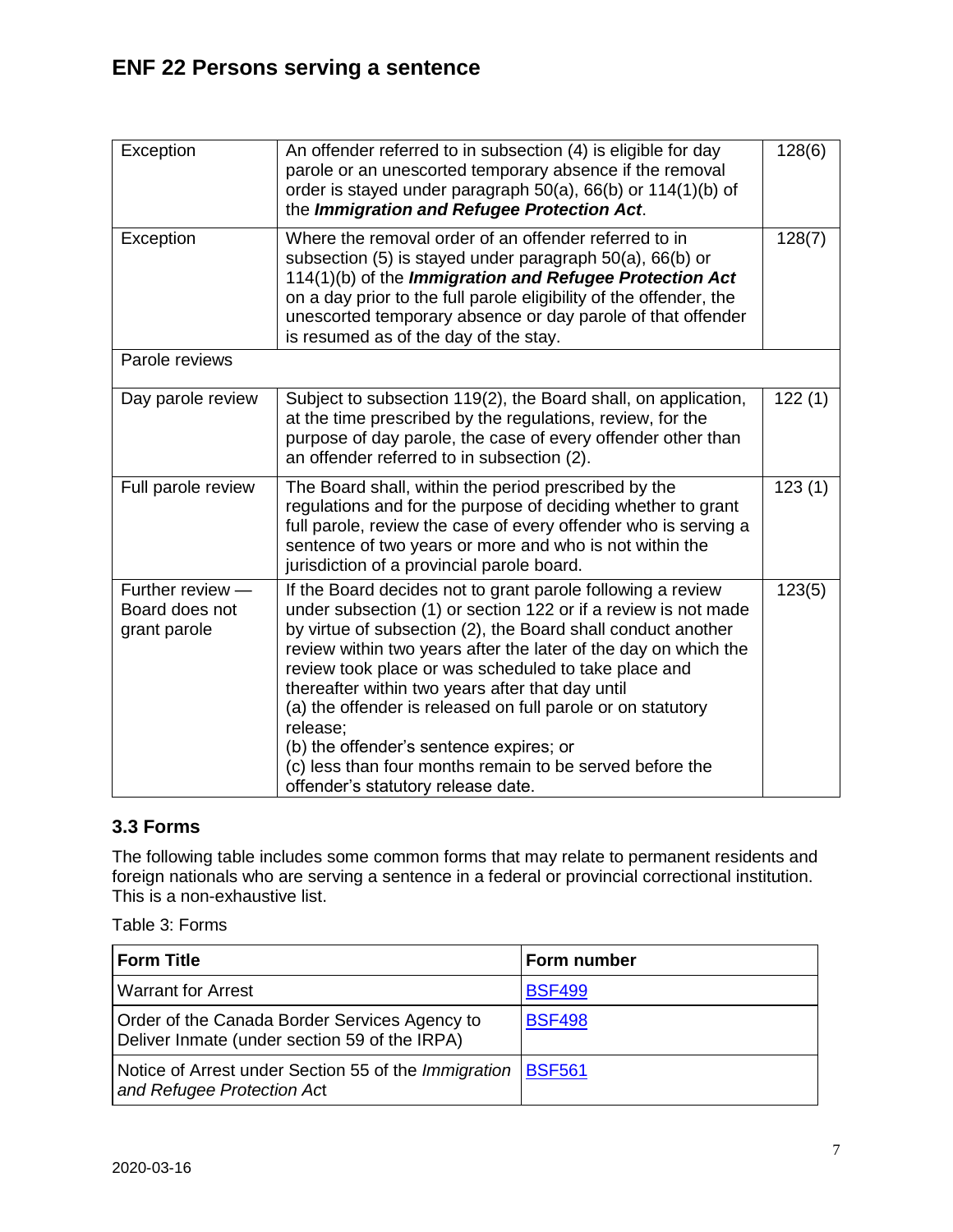| Exception                                          | An offender referred to in subsection (4) is eligible for day<br>parole or an unescorted temporary absence if the removal<br>order is stayed under paragraph 50(a), 66(b) or 114(1)(b) of<br>the Immigration and Refugee Protection Act.                                                                                                                                                                                                                                                                                                                                                             | 128(6) |
|----------------------------------------------------|------------------------------------------------------------------------------------------------------------------------------------------------------------------------------------------------------------------------------------------------------------------------------------------------------------------------------------------------------------------------------------------------------------------------------------------------------------------------------------------------------------------------------------------------------------------------------------------------------|--------|
| Exception                                          | Where the removal order of an offender referred to in<br>subsection (5) is stayed under paragraph 50(a), 66(b) or<br>114(1)(b) of the Immigration and Refugee Protection Act<br>on a day prior to the full parole eligibility of the offender, the<br>unescorted temporary absence or day parole of that offender<br>is resumed as of the day of the stay.                                                                                                                                                                                                                                           | 128(7) |
| Parole reviews                                     |                                                                                                                                                                                                                                                                                                                                                                                                                                                                                                                                                                                                      |        |
| Day parole review                                  | Subject to subsection 119(2), the Board shall, on application,<br>at the time prescribed by the regulations, review, for the<br>purpose of day parole, the case of every offender other than<br>an offender referred to in subsection (2).                                                                                                                                                                                                                                                                                                                                                           | 122(1) |
| Full parole review                                 | The Board shall, within the period prescribed by the<br>regulations and for the purpose of deciding whether to grant<br>full parole, review the case of every offender who is serving a<br>sentence of two years or more and who is not within the<br>jurisdiction of a provincial parole board.                                                                                                                                                                                                                                                                                                     | 123(1) |
| Further review -<br>Board does not<br>grant parole | If the Board decides not to grant parole following a review<br>under subsection (1) or section 122 or if a review is not made<br>by virtue of subsection (2), the Board shall conduct another<br>review within two years after the later of the day on which the<br>review took place or was scheduled to take place and<br>thereafter within two years after that day until<br>(a) the offender is released on full parole or on statutory<br>release;<br>(b) the offender's sentence expires; or<br>(c) less than four months remain to be served before the<br>offender's statutory release date. | 123(5) |

### <span id="page-6-0"></span>**3.3 Forms**

The following table includes some common forms that may relate to permanent residents and foreign nationals who are serving a sentence in a federal or provincial correctional institution. This is a non-exhaustive list.

Table 3: Forms

| <b>Form Title</b>                                                                              | Form number   |
|------------------------------------------------------------------------------------------------|---------------|
| <b>Warrant for Arrest</b>                                                                      | <b>BSF499</b> |
| Order of the Canada Border Services Agency to<br>Deliver Inmate (under section 59 of the IRPA) | <b>BSF498</b> |
| Notice of Arrest under Section 55 of the Immigration  <br>and Refugee Protection Act           | <b>BSF561</b> |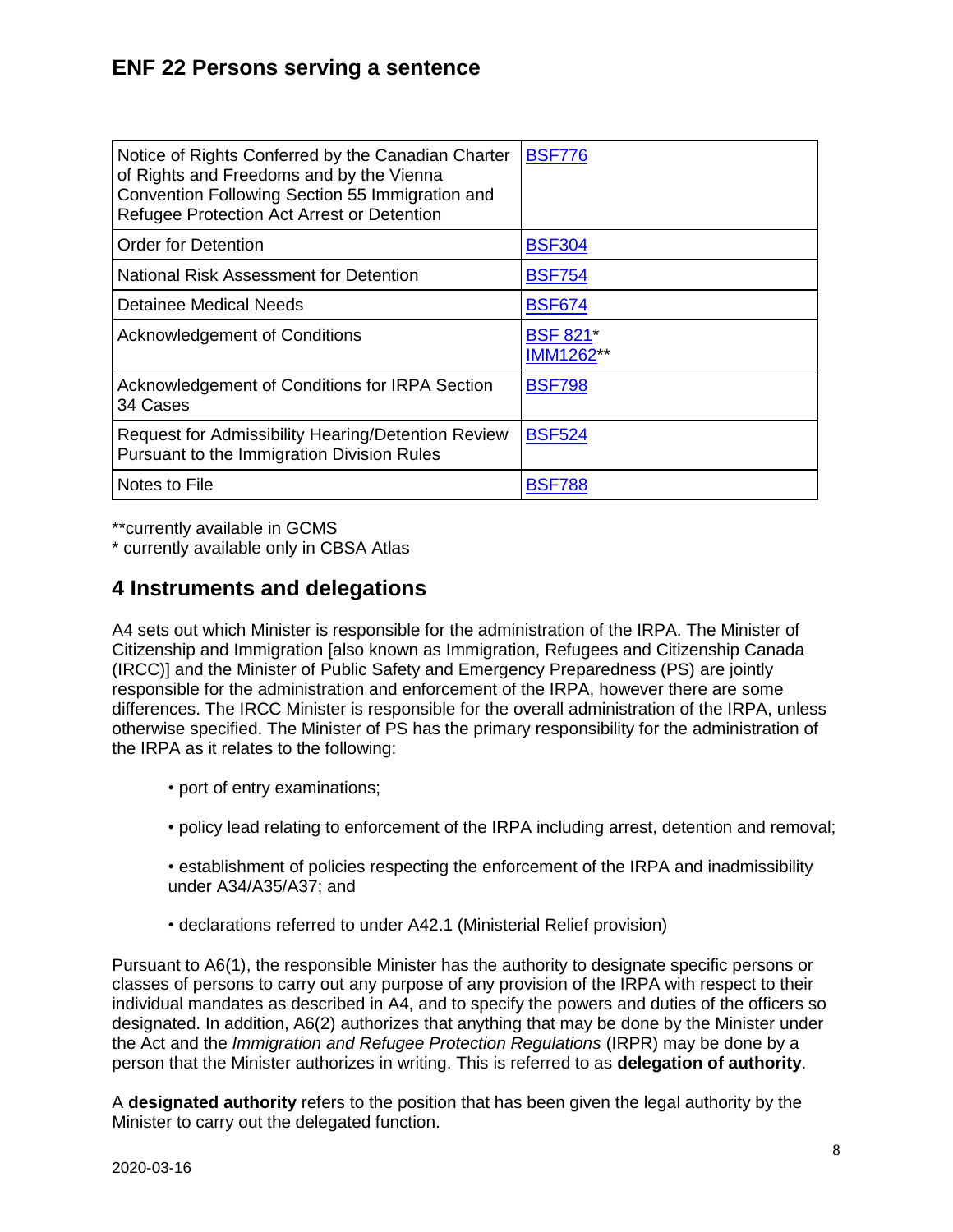| Notice of Rights Conferred by the Canadian Charter<br>of Rights and Freedoms and by the Vienna<br>Convention Following Section 55 Immigration and<br>Refugee Protection Act Arrest or Detention | <b>BSF776</b>                |
|-------------------------------------------------------------------------------------------------------------------------------------------------------------------------------------------------|------------------------------|
| <b>Order for Detention</b>                                                                                                                                                                      | <b>BSF304</b>                |
| National Risk Assessment for Detention                                                                                                                                                          | <b>BSF754</b>                |
| Detainee Medical Needs                                                                                                                                                                          | <b>BSF674</b>                |
| <b>Acknowledgement of Conditions</b>                                                                                                                                                            | <b>BSF 821*</b><br>IMM1262** |
| Acknowledgement of Conditions for IRPA Section<br>34 Cases                                                                                                                                      | <b>BSF798</b>                |
| Request for Admissibility Hearing/Detention Review<br>Pursuant to the Immigration Division Rules                                                                                                | <b>BSF524</b>                |
| Notes to File                                                                                                                                                                                   | <b>BSF788</b>                |

\*\*currently available in GCMS

\* currently available only in CBSA Atlas

# <span id="page-7-0"></span>**4 Instruments and delegations**

A4 sets out which Minister is responsible for the administration of the IRPA. The Minister of Citizenship and Immigration [also known as Immigration, Refugees and Citizenship Canada (IRCC)] and the Minister of Public Safety and Emergency Preparedness (PS) are jointly responsible for the administration and enforcement of the IRPA, however there are some differences. The IRCC Minister is responsible for the overall administration of the IRPA, unless otherwise specified. The Minister of PS has the primary responsibility for the administration of the IRPA as it relates to the following:

- port of entry examinations;
- policy lead relating to enforcement of the IRPA including arrest, detention and removal;
- establishment of policies respecting the enforcement of the IRPA and inadmissibility under A34/A35/A37; and
- declarations referred to under A42.1 (Ministerial Relief provision)

Pursuant to A6(1), the responsible Minister has the authority to designate specific persons or classes of persons to carry out any purpose of any provision of the IRPA with respect to their individual mandates as described in A4, and to specify the powers and duties of the officers so designated. In addition, A6(2) authorizes that anything that may be done by the Minister under the Act and the *Immigration and Refugee Protection Regulations* (IRPR) may be done by a person that the Minister authorizes in writing. This is referred to as **delegation of authority**.

A **designated authority** refers to the position that has been given the legal authority by the Minister to carry out the delegated function.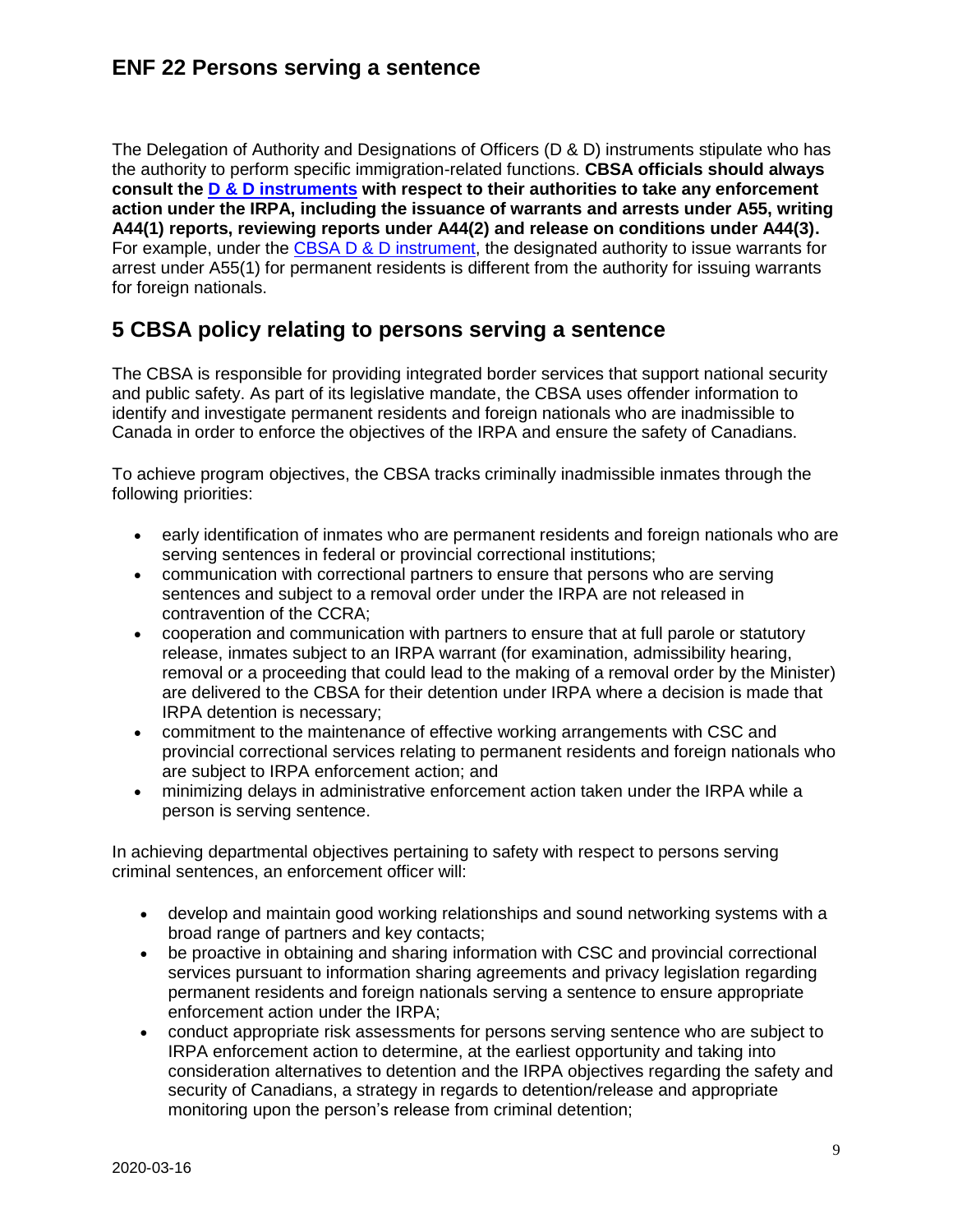The Delegation of Authority and Designations of Officers (D & D) instruments stipulate who has the authority to perform specific immigration-related functions. **CBSA officials should always consult the [D & D instruments](http://cicintranet.ci.gc.ca/Manuals/immigration/il/il3/index_e.asp) with respect to their authorities to take any enforcement action under the IRPA, including the issuance of warrants and arrests under A55, writing A44(1) reports, reviewing reports under A44(2) and release on conditions under A44(3).** For example, under the [CBSA D & D instrument,](https://www.cbsa-asfc.gc.ca/agency-agence/actreg-loireg/delegation/irpa-lipr-2016-07-eng.html) the designated authority to issue warrants for arrest under A55(1) for permanent residents is different from the authority for issuing warrants for foreign nationals.

## <span id="page-8-0"></span>**5 CBSA policy relating to persons serving a sentence**

The CBSA is responsible for providing integrated border services that support national security and public safety. As part of its legislative mandate, the CBSA uses offender information to identify and investigate permanent residents and foreign nationals who are inadmissible to Canada in order to enforce the objectives of the IRPA and ensure the safety of Canadians.

To achieve program objectives, the CBSA tracks criminally inadmissible inmates through the following priorities:

- early identification of inmates who are permanent residents and foreign nationals who are serving sentences in federal or provincial correctional institutions;
- communication with correctional partners to ensure that persons who are serving sentences and subject to a removal order under the IRPA are not released in contravention of the CCRA;
- cooperation and communication with partners to ensure that at full parole or statutory release, inmates subject to an IRPA warrant (for examination, admissibility hearing, removal or a proceeding that could lead to the making of a removal order by the Minister) are delivered to the CBSA for their detention under IRPA where a decision is made that IRPA detention is necessary;
- commitment to the maintenance of effective working arrangements with CSC and provincial correctional services relating to permanent residents and foreign nationals who are subject to IRPA enforcement action; and
- minimizing delays in administrative enforcement action taken under the IRPA while a person is serving sentence.

In achieving departmental objectives pertaining to safety with respect to persons serving criminal sentences, an enforcement officer will:

- develop and maintain good working relationships and sound networking systems with a broad range of partners and key contacts;
- be proactive in obtaining and sharing information with CSC and provincial correctional services pursuant to information sharing agreements and privacy legislation regarding permanent residents and foreign nationals serving a sentence to ensure appropriate enforcement action under the IRPA;
- conduct appropriate risk assessments for persons serving sentence who are subject to IRPA enforcement action to determine, at the earliest opportunity and taking into consideration alternatives to detention and the IRPA objectives regarding the safety and security of Canadians, a strategy in regards to detention/release and appropriate monitoring upon the person's release from criminal detention;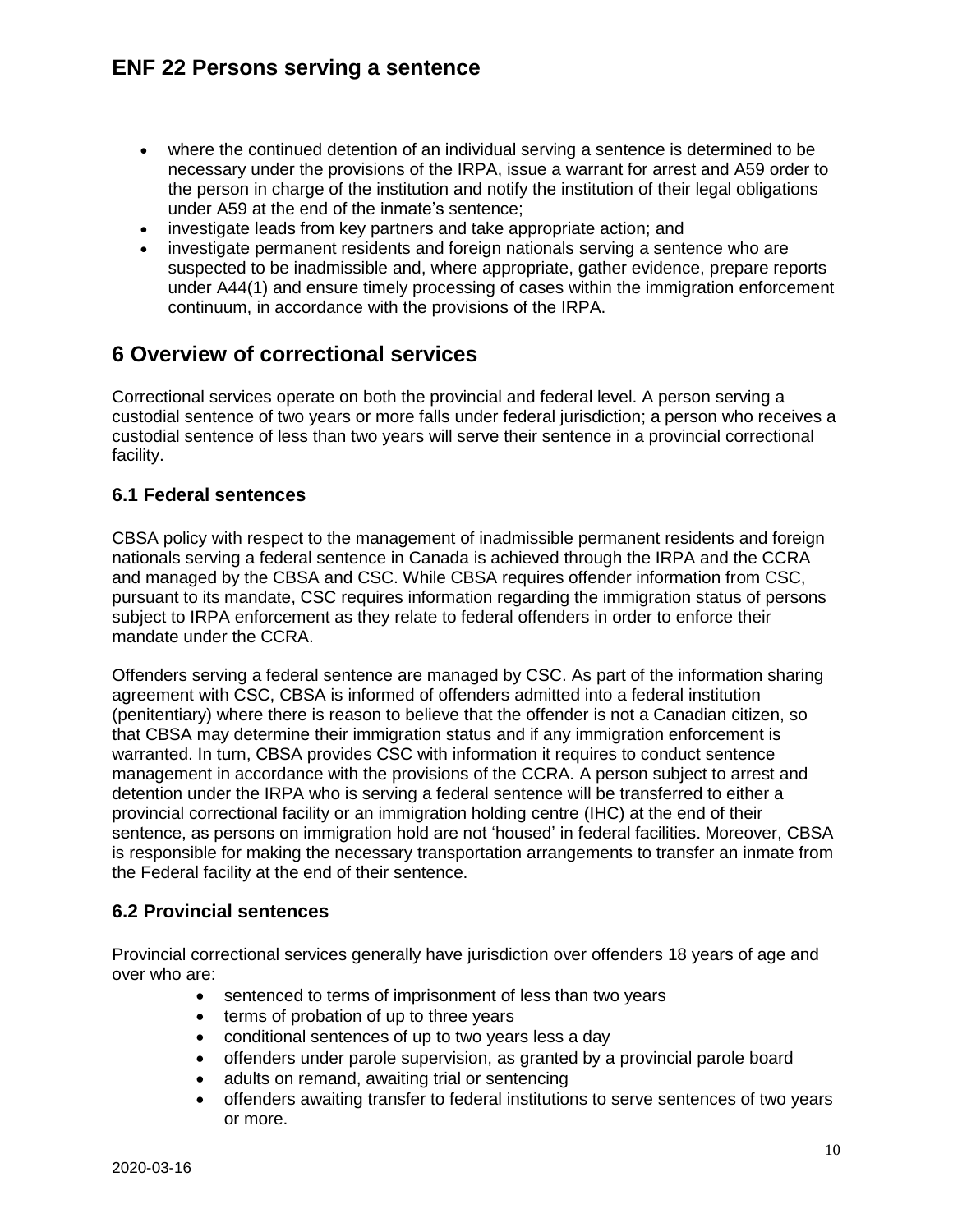- where the continued detention of an individual serving a sentence is determined to be necessary under the provisions of the IRPA, issue a warrant for arrest and A59 order to the person in charge of the institution and notify the institution of their legal obligations under A59 at the end of the inmate's sentence;
- investigate leads from key partners and take appropriate action; and
- investigate permanent residents and foreign nationals serving a sentence who are suspected to be inadmissible and, where appropriate, gather evidence, prepare reports under A44(1) and ensure timely processing of cases within the immigration enforcement continuum, in accordance with the provisions of the IRPA.

# <span id="page-9-0"></span>**6 Overview of correctional services**

Correctional services operate on both the provincial and federal level. A person serving a custodial sentence of two years or more falls under federal jurisdiction; a person who receives a custodial sentence of less than two years will serve their sentence in a provincial correctional facility.

#### <span id="page-9-1"></span>**6.1 Federal sentences**

CBSA policy with respect to the management of inadmissible permanent residents and foreign nationals serving a federal sentence in Canada is achieved through the IRPA and the CCRA and managed by the CBSA and CSC. While CBSA requires offender information from CSC, pursuant to its mandate, CSC requires information regarding the immigration status of persons subject to IRPA enforcement as they relate to federal offenders in order to enforce their mandate under the CCRA.

Offenders serving a federal sentence are managed by CSC. As part of the information sharing agreement with CSC, CBSA is informed of offenders admitted into a federal institution (penitentiary) where there is reason to believe that the offender is not a Canadian citizen, so that CBSA may determine their immigration status and if any immigration enforcement is warranted. In turn, CBSA provides CSC with information it requires to conduct sentence management in accordance with the provisions of the CCRA. A person subject to arrest and detention under the IRPA who is serving a federal sentence will be transferred to either a provincial correctional facility or an immigration holding centre (IHC) at the end of their sentence, as persons on immigration hold are not 'housed' in federal facilities. Moreover, CBSA is responsible for making the necessary transportation arrangements to transfer an inmate from the Federal facility at the end of their sentence.

### <span id="page-9-2"></span>**6.2 Provincial sentences**

Provincial correctional services generally have jurisdiction over offenders 18 years of age and over who are:

- sentenced to terms of imprisonment of less than two years
- terms of probation of up to three years
- conditional sentences of up to two years less a day
- offenders under parole supervision, as granted by a provincial parole board
- adults on remand, awaiting trial or sentencing
- offenders awaiting transfer to federal institutions to serve sentences of two years or more.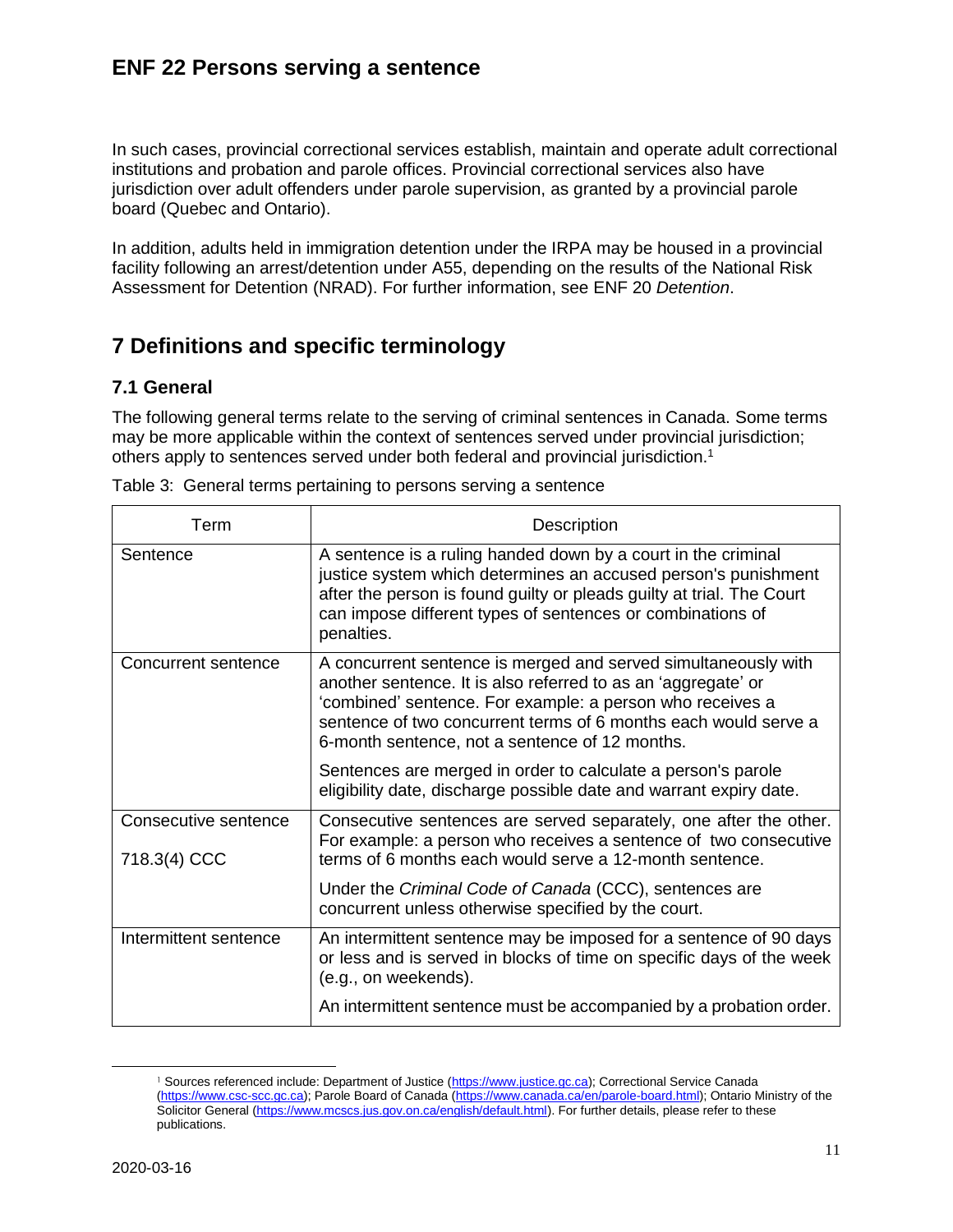In such cases, provincial correctional services establish, maintain and operate adult correctional institutions and probation and parole offices. Provincial correctional services also have jurisdiction over adult offenders under parole supervision, as granted by a provincial parole board (Quebec and Ontario).

In addition, adults held in immigration detention under the IRPA may be housed in a provincial facility following an arrest/detention under A55, depending on the results of the National Risk Assessment for Detention (NRAD). For further information, see ENF 20 *Detention*.

# <span id="page-10-0"></span>**7 Definitions and specific terminology**

### <span id="page-10-1"></span>**7.1 General**

The following general terms relate to the serving of criminal sentences in Canada. Some terms may be more applicable within the context of sentences served under provincial jurisdiction; others apply to sentences served under both federal and provincial jurisdiction.<sup>1</sup>

| Term                                 | Description                                                                                                                                                                                                                                                                                                       |
|--------------------------------------|-------------------------------------------------------------------------------------------------------------------------------------------------------------------------------------------------------------------------------------------------------------------------------------------------------------------|
| Sentence                             | A sentence is a ruling handed down by a court in the criminal<br>justice system which determines an accused person's punishment<br>after the person is found guilty or pleads guilty at trial. The Court<br>can impose different types of sentences or combinations of<br>penalties.                              |
| <b>Concurrent sentence</b>           | A concurrent sentence is merged and served simultaneously with<br>another sentence. It is also referred to as an 'aggregate' or<br>'combined' sentence. For example: a person who receives a<br>sentence of two concurrent terms of 6 months each would serve a<br>6-month sentence, not a sentence of 12 months. |
|                                      | Sentences are merged in order to calculate a person's parole<br>eligibility date, discharge possible date and warrant expiry date.                                                                                                                                                                                |
| Consecutive sentence<br>718.3(4) CCC | Consecutive sentences are served separately, one after the other.<br>For example: a person who receives a sentence of two consecutive<br>terms of 6 months each would serve a 12-month sentence.                                                                                                                  |
|                                      | Under the Criminal Code of Canada (CCC), sentences are<br>concurrent unless otherwise specified by the court.                                                                                                                                                                                                     |
| Intermittent sentence                | An intermittent sentence may be imposed for a sentence of 90 days<br>or less and is served in blocks of time on specific days of the week<br>(e.g., on weekends).                                                                                                                                                 |
|                                      | An intermittent sentence must be accompanied by a probation order.                                                                                                                                                                                                                                                |

Table 3: General terms pertaining to persons serving a sentence

 $\overline{\phantom{a}}$ 

<sup>&</sup>lt;sup>1</sup> Sources referenced include: Department of Justice [\(https://www.justice.gc.ca\)](https://www.justice.gc.ca/); Correctional Service Canada [\(https://www.csc-scc.gc.ca\)](https://www.csc-scc.gc.ca/); Parole Board of Canada [\(https://www.canada.ca/en/parole-board.html\)](https://www.canada.ca/en/parole-board.html); Ontario Ministry of the Solicitor General [\(https://www.mcscs.jus.gov.on.ca/english/default.html\)](https://www.mcscs.jus.gov.on.ca/english/default.html). For further details, please refer to these publications.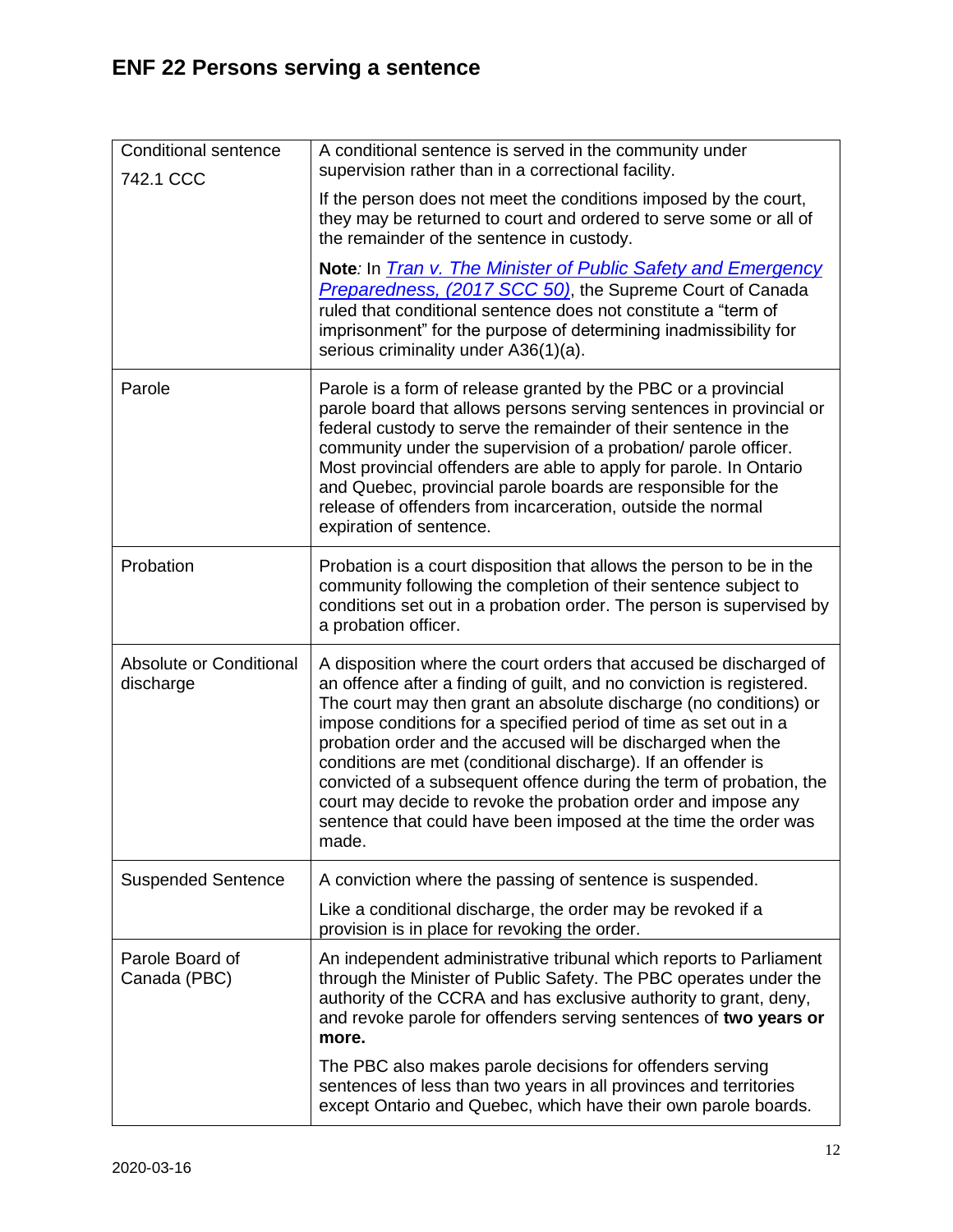| <b>Conditional sentence</b><br>742.1 CCC | A conditional sentence is served in the community under<br>supervision rather than in a correctional facility.                                                                                                                                                                                                                                                                                                                                                                                                                                                                                                                           |
|------------------------------------------|------------------------------------------------------------------------------------------------------------------------------------------------------------------------------------------------------------------------------------------------------------------------------------------------------------------------------------------------------------------------------------------------------------------------------------------------------------------------------------------------------------------------------------------------------------------------------------------------------------------------------------------|
|                                          | If the person does not meet the conditions imposed by the court,<br>they may be returned to court and ordered to serve some or all of<br>the remainder of the sentence in custody.                                                                                                                                                                                                                                                                                                                                                                                                                                                       |
|                                          | Note: In <i>Tran v. The Minister of Public Safety and Emergency</i><br>Preparedness, (2017 SCC 50), the Supreme Court of Canada<br>ruled that conditional sentence does not constitute a "term of<br>imprisonment" for the purpose of determining inadmissibility for<br>serious criminality under A36(1)(a).                                                                                                                                                                                                                                                                                                                            |
| Parole                                   | Parole is a form of release granted by the PBC or a provincial<br>parole board that allows persons serving sentences in provincial or<br>federal custody to serve the remainder of their sentence in the<br>community under the supervision of a probation/ parole officer.<br>Most provincial offenders are able to apply for parole. In Ontario<br>and Quebec, provincial parole boards are responsible for the<br>release of offenders from incarceration, outside the normal<br>expiration of sentence.                                                                                                                              |
| Probation                                | Probation is a court disposition that allows the person to be in the<br>community following the completion of their sentence subject to<br>conditions set out in a probation order. The person is supervised by<br>a probation officer.                                                                                                                                                                                                                                                                                                                                                                                                  |
| Absolute or Conditional<br>discharge     | A disposition where the court orders that accused be discharged of<br>an offence after a finding of guilt, and no conviction is registered.<br>The court may then grant an absolute discharge (no conditions) or<br>impose conditions for a specified period of time as set out in a<br>probation order and the accused will be discharged when the<br>conditions are met (conditional discharge). If an offender is<br>convicted of a subsequent offence during the term of probation, the<br>court may decide to revoke the probation order and impose any<br>sentence that could have been imposed at the time the order was<br>made. |
| <b>Suspended Sentence</b>                | A conviction where the passing of sentence is suspended.                                                                                                                                                                                                                                                                                                                                                                                                                                                                                                                                                                                 |
|                                          | Like a conditional discharge, the order may be revoked if a<br>provision is in place for revoking the order.                                                                                                                                                                                                                                                                                                                                                                                                                                                                                                                             |
| Parole Board of<br>Canada (PBC)          | An independent administrative tribunal which reports to Parliament<br>through the Minister of Public Safety. The PBC operates under the<br>authority of the CCRA and has exclusive authority to grant, deny,<br>and revoke parole for offenders serving sentences of two years or<br>more.                                                                                                                                                                                                                                                                                                                                               |
|                                          | The PBC also makes parole decisions for offenders serving<br>sentences of less than two years in all provinces and territories<br>except Ontario and Quebec, which have their own parole boards.                                                                                                                                                                                                                                                                                                                                                                                                                                         |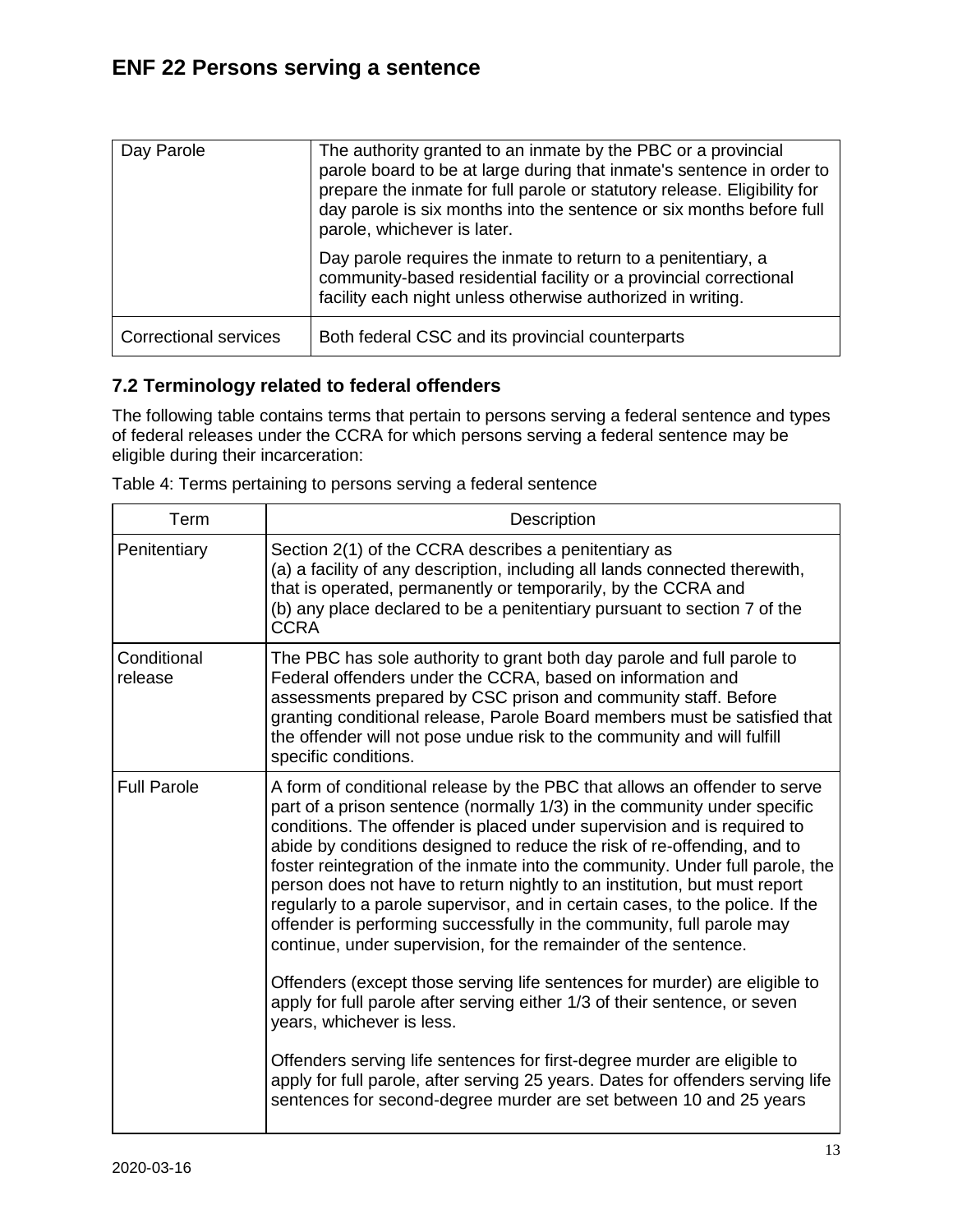| Day Parole                   | The authority granted to an inmate by the PBC or a provincial<br>parole board to be at large during that inmate's sentence in order to<br>prepare the inmate for full parole or statutory release. Eligibility for<br>day parole is six months into the sentence or six months before full<br>parole, whichever is later. |
|------------------------------|---------------------------------------------------------------------------------------------------------------------------------------------------------------------------------------------------------------------------------------------------------------------------------------------------------------------------|
|                              | Day parole requires the inmate to return to a penitentiary, a<br>community-based residential facility or a provincial correctional<br>facility each night unless otherwise authorized in writing.                                                                                                                         |
| <b>Correctional services</b> | Both federal CSC and its provincial counterparts                                                                                                                                                                                                                                                                          |

### <span id="page-12-0"></span>**7.2 Terminology related to federal offenders**

The following table contains terms that pertain to persons serving a federal sentence and types of federal releases under the CCRA for which persons serving a federal sentence may be eligible during their incarceration:

| Term                   | Description                                                                                                                                                                                                                                                                                                                                                                                                                                                                                                                                                                                                                                                                                                                                                                                                                                                                                                                                                                                                                                                                                                                          |
|------------------------|--------------------------------------------------------------------------------------------------------------------------------------------------------------------------------------------------------------------------------------------------------------------------------------------------------------------------------------------------------------------------------------------------------------------------------------------------------------------------------------------------------------------------------------------------------------------------------------------------------------------------------------------------------------------------------------------------------------------------------------------------------------------------------------------------------------------------------------------------------------------------------------------------------------------------------------------------------------------------------------------------------------------------------------------------------------------------------------------------------------------------------------|
| Penitentiary           | Section 2(1) of the CCRA describes a penitentiary as<br>(a) a facility of any description, including all lands connected therewith,<br>that is operated, permanently or temporarily, by the CCRA and<br>(b) any place declared to be a penitentiary pursuant to section 7 of the<br><b>CCRA</b>                                                                                                                                                                                                                                                                                                                                                                                                                                                                                                                                                                                                                                                                                                                                                                                                                                      |
| Conditional<br>release | The PBC has sole authority to grant both day parole and full parole to<br>Federal offenders under the CCRA, based on information and<br>assessments prepared by CSC prison and community staff. Before<br>granting conditional release, Parole Board members must be satisfied that<br>the offender will not pose undue risk to the community and will fulfill<br>specific conditions.                                                                                                                                                                                                                                                                                                                                                                                                                                                                                                                                                                                                                                                                                                                                               |
| <b>Full Parole</b>     | A form of conditional release by the PBC that allows an offender to serve<br>part of a prison sentence (normally 1/3) in the community under specific<br>conditions. The offender is placed under supervision and is required to<br>abide by conditions designed to reduce the risk of re-offending, and to<br>foster reintegration of the inmate into the community. Under full parole, the<br>person does not have to return nightly to an institution, but must report<br>regularly to a parole supervisor, and in certain cases, to the police. If the<br>offender is performing successfully in the community, full parole may<br>continue, under supervision, for the remainder of the sentence.<br>Offenders (except those serving life sentences for murder) are eligible to<br>apply for full parole after serving either 1/3 of their sentence, or seven<br>years, whichever is less.<br>Offenders serving life sentences for first-degree murder are eligible to<br>apply for full parole, after serving 25 years. Dates for offenders serving life<br>sentences for second-degree murder are set between 10 and 25 years |

Table 4: Terms pertaining to persons serving a federal sentence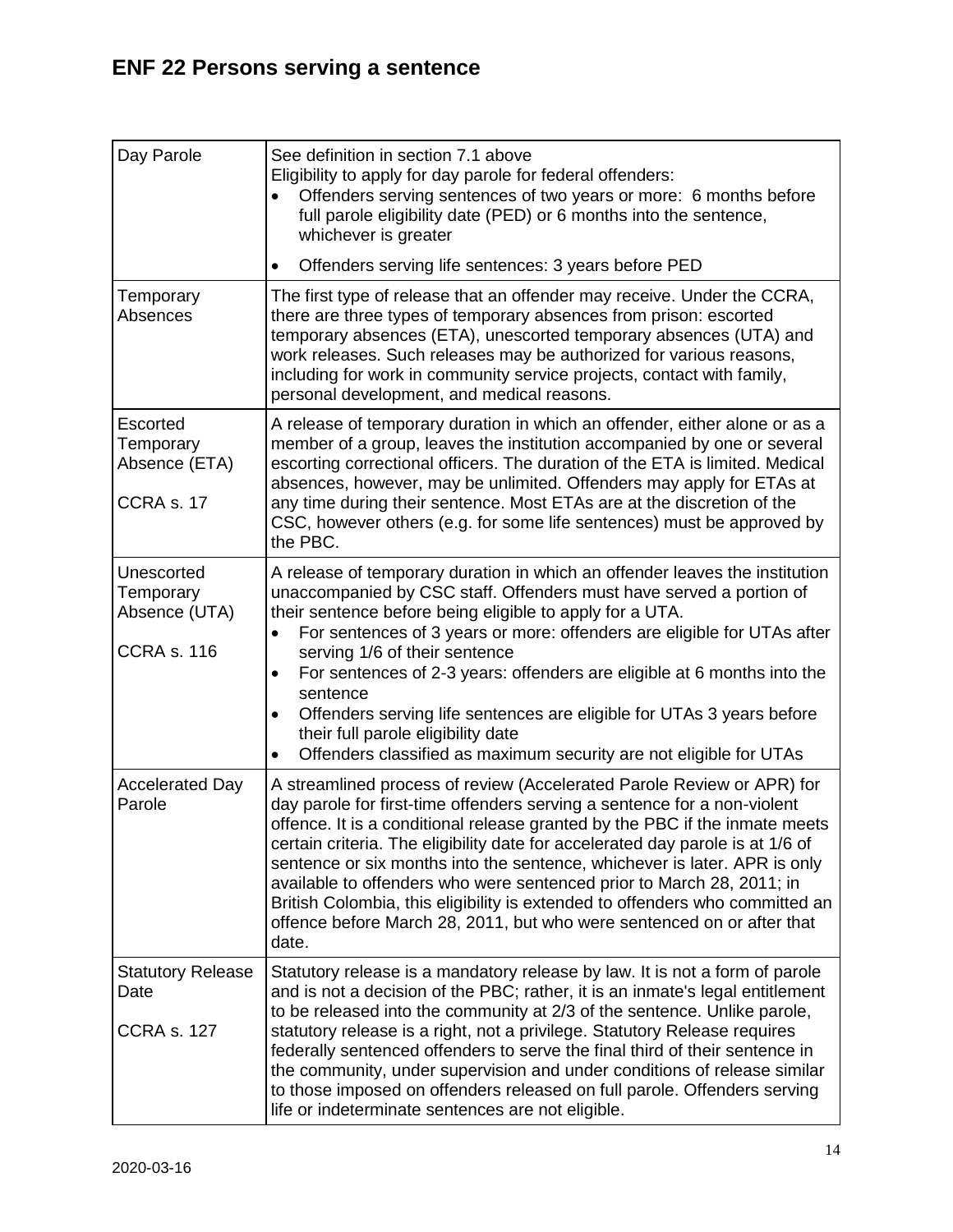| Day Parole                                                     | See definition in section 7.1 above<br>Eligibility to apply for day parole for federal offenders:<br>Offenders serving sentences of two years or more: 6 months before<br>full parole eligibility date (PED) or 6 months into the sentence,<br>whichever is greater                                                                                                                                                                                                                                                                                                                                                                           |
|----------------------------------------------------------------|-----------------------------------------------------------------------------------------------------------------------------------------------------------------------------------------------------------------------------------------------------------------------------------------------------------------------------------------------------------------------------------------------------------------------------------------------------------------------------------------------------------------------------------------------------------------------------------------------------------------------------------------------|
|                                                                | Offenders serving life sentences: 3 years before PED<br>$\bullet$                                                                                                                                                                                                                                                                                                                                                                                                                                                                                                                                                                             |
| Temporary<br>Absences                                          | The first type of release that an offender may receive. Under the CCRA,<br>there are three types of temporary absences from prison: escorted<br>temporary absences (ETA), unescorted temporary absences (UTA) and<br>work releases. Such releases may be authorized for various reasons,<br>including for work in community service projects, contact with family,<br>personal development, and medical reasons.                                                                                                                                                                                                                              |
| Escorted<br>Temporary<br>Absence (ETA)<br>CCRA <sub>s.17</sub> | A release of temporary duration in which an offender, either alone or as a<br>member of a group, leaves the institution accompanied by one or several<br>escorting correctional officers. The duration of the ETA is limited. Medical<br>absences, however, may be unlimited. Offenders may apply for ETAs at<br>any time during their sentence. Most ETAs are at the discretion of the<br>CSC, however others (e.g. for some life sentences) must be approved by<br>the PBC.                                                                                                                                                                 |
| Unescorted<br>Temporary<br>Absence (UTA)<br><b>CCRA s. 116</b> | A release of temporary duration in which an offender leaves the institution<br>unaccompanied by CSC staff. Offenders must have served a portion of<br>their sentence before being eligible to apply for a UTA.<br>For sentences of 3 years or more: offenders are eligible for UTAs after<br>serving 1/6 of their sentence<br>For sentences of 2-3 years: offenders are eligible at 6 months into the<br>$\bullet$<br>sentence<br>Offenders serving life sentences are eligible for UTAs 3 years before<br>$\bullet$<br>their full parole eligibility date<br>Offenders classified as maximum security are not eligible for UTAs<br>$\bullet$ |
| <b>Accelerated Day</b><br>Parole                               | A streamlined process of review (Accelerated Parole Review or APR) for<br>day parole for first-time offenders serving a sentence for a non-violent<br>offence. It is a conditional release granted by the PBC if the inmate meets<br>certain criteria. The eligibility date for accelerated day parole is at 1/6 of<br>sentence or six months into the sentence, whichever is later. APR is only<br>available to offenders who were sentenced prior to March 28, 2011; in<br>British Colombia, this eligibility is extended to offenders who committed an<br>offence before March 28, 2011, but who were sentenced on or after that<br>date.  |
| <b>Statutory Release</b><br>Date<br><b>CCRA s. 127</b>         | Statutory release is a mandatory release by law. It is not a form of parole<br>and is not a decision of the PBC; rather, it is an inmate's legal entitlement<br>to be released into the community at 2/3 of the sentence. Unlike parole,<br>statutory release is a right, not a privilege. Statutory Release requires<br>federally sentenced offenders to serve the final third of their sentence in<br>the community, under supervision and under conditions of release similar<br>to those imposed on offenders released on full parole. Offenders serving<br>life or indeterminate sentences are not eligible.                             |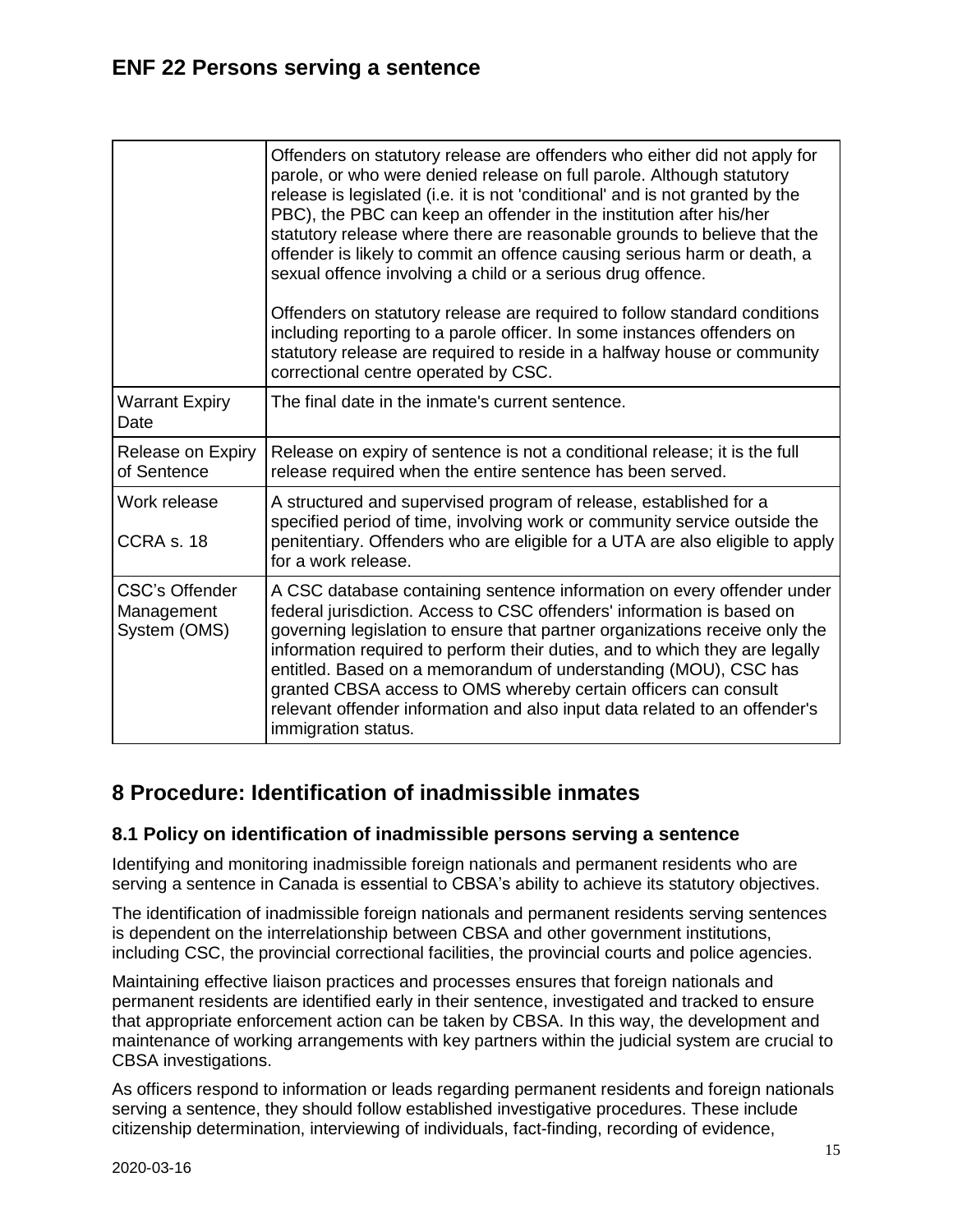|                                                     | Offenders on statutory release are offenders who either did not apply for<br>parole, or who were denied release on full parole. Although statutory<br>release is legislated (i.e. it is not 'conditional' and is not granted by the<br>PBC), the PBC can keep an offender in the institution after his/her<br>statutory release where there are reasonable grounds to believe that the<br>offender is likely to commit an offence causing serious harm or death, a<br>sexual offence involving a child or a serious drug offence.<br>Offenders on statutory release are required to follow standard conditions<br>including reporting to a parole officer. In some instances offenders on<br>statutory release are required to reside in a halfway house or community<br>correctional centre operated by CSC. |
|-----------------------------------------------------|---------------------------------------------------------------------------------------------------------------------------------------------------------------------------------------------------------------------------------------------------------------------------------------------------------------------------------------------------------------------------------------------------------------------------------------------------------------------------------------------------------------------------------------------------------------------------------------------------------------------------------------------------------------------------------------------------------------------------------------------------------------------------------------------------------------|
| <b>Warrant Expiry</b><br>Date                       | The final date in the inmate's current sentence.                                                                                                                                                                                                                                                                                                                                                                                                                                                                                                                                                                                                                                                                                                                                                              |
| Release on Expiry<br>of Sentence                    | Release on expiry of sentence is not a conditional release; it is the full<br>release required when the entire sentence has been served.                                                                                                                                                                                                                                                                                                                                                                                                                                                                                                                                                                                                                                                                      |
| Work release<br>CCRA <sub>s.18</sub>                | A structured and supervised program of release, established for a<br>specified period of time, involving work or community service outside the<br>penitentiary. Offenders who are eligible for a UTA are also eligible to apply<br>for a work release.                                                                                                                                                                                                                                                                                                                                                                                                                                                                                                                                                        |
| <b>CSC's Offender</b><br>Management<br>System (OMS) | A CSC database containing sentence information on every offender under<br>federal jurisdiction. Access to CSC offenders' information is based on<br>governing legislation to ensure that partner organizations receive only the<br>information required to perform their duties, and to which they are legally<br>entitled. Based on a memorandum of understanding (MOU), CSC has<br>granted CBSA access to OMS whereby certain officers can consult<br>relevant offender information and also input data related to an offender's<br>immigration status.                                                                                                                                                                                                                                                     |

# <span id="page-14-0"></span>**8 Procedure: Identification of inadmissible inmates**

### <span id="page-14-1"></span>**8.1 Policy on identification of inadmissible persons serving a sentence**

Identifying and monitoring inadmissible foreign nationals and permanent residents who are serving a sentence in Canada is essential to CBSA's ability to achieve its statutory objectives.

The identification of inadmissible foreign nationals and permanent residents serving sentences is dependent on the interrelationship between CBSA and other government institutions, including CSC, the provincial correctional facilities, the provincial courts and police agencies.

Maintaining effective liaison practices and processes ensures that foreign nationals and permanent residents are identified early in their sentence, investigated and tracked to ensure that appropriate enforcement action can be taken by CBSA. In this way, the development and maintenance of working arrangements with key partners within the judicial system are crucial to CBSA investigations.

As officers respond to information or leads regarding permanent residents and foreign nationals serving a sentence, they should follow established investigative procedures. These include citizenship determination, interviewing of individuals, fact-finding, recording of evidence,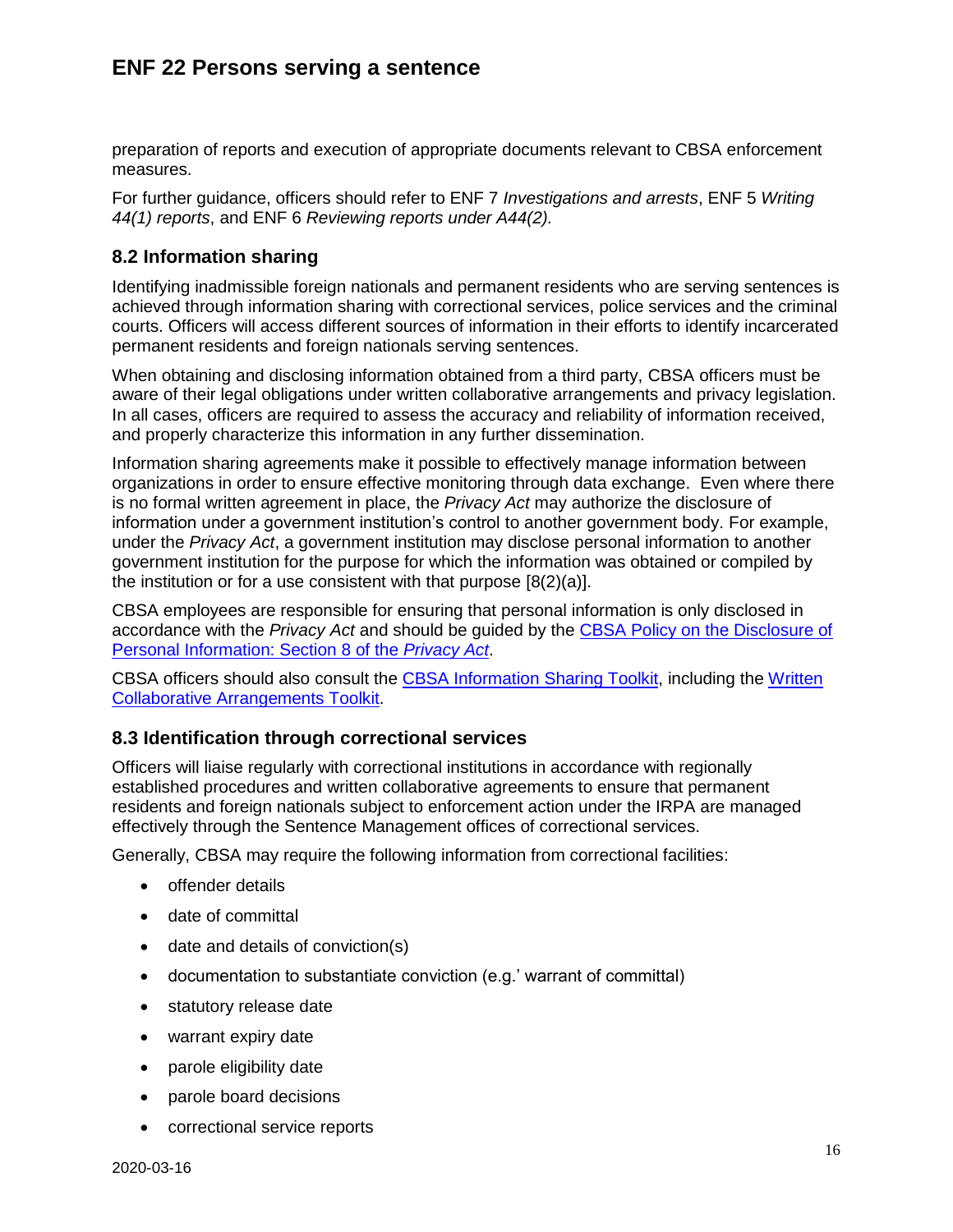preparation of reports and execution of appropriate documents relevant to CBSA enforcement measures.

For further guidance, officers should refer to ENF 7 *Investigations and arrests*, ENF 5 *Writing 44(1) reports*, and ENF 6 *Reviewing reports under A44(2).*

#### <span id="page-15-0"></span>**8.2 Information sharing**

Identifying inadmissible foreign nationals and permanent residents who are serving sentences is achieved through information sharing with correctional services, police services and the criminal courts. Officers will access different sources of information in their efforts to identify incarcerated permanent residents and foreign nationals serving sentences.

When obtaining and disclosing information obtained from a third party, CBSA officers must be aware of their legal obligations under written collaborative arrangements and privacy legislation. In all cases, officers are required to assess the accuracy and reliability of information received, and properly characterize this information in any further dissemination.

Information sharing agreements make it possible to effectively manage information between organizations in order to ensure effective monitoring through data exchange. Even where there is no formal written agreement in place, the *Privacy Act* may authorize the disclosure of information under a government institution's control to another government body. For example, under the *Privacy Act*, a government institution may disclose personal information to another government institution for the purpose for which the information was obtained or compiled by the institution or for a use consistent with that purpose [8(2)(a)].

CBSA employees are responsible for ensuring that personal information is only disclosed in accordance with the *Privacy Act* and should be guided by the [CBSA Policy on the Disclosure of](http://atlas/spb-dgps/res/toolkit-outils/partnership-partenariat/is-ei/section8-article8/pol_eng.asp)  [Personal Information: Section 8 of the](http://atlas/spb-dgps/res/toolkit-outils/partnership-partenariat/is-ei/section8-article8/pol_eng.asp) *Privacy Act*.

CBSA officers should also consult the [CBSA Information Sharing Toolkit,](http://atlas/spb-dgps/res/toolkit-outils/partnership-partenariat/is-ei/index_eng.asp) including the [Written](http://atlas/spb-dgps/res/toolkit-outils/partnership-partenariat/wca-ece/index_eng.asp)  [Collaborative Arrangements Toolkit.](http://atlas/spb-dgps/res/toolkit-outils/partnership-partenariat/wca-ece/index_eng.asp)

#### <span id="page-15-1"></span>**8.3 Identification through correctional services**

Officers will liaise regularly with correctional institutions in accordance with regionally established procedures and written collaborative agreements to ensure that permanent residents and foreign nationals subject to enforcement action under the IRPA are managed effectively through the Sentence Management offices of correctional services.

Generally, CBSA may require the following information from correctional facilities:

- offender details
- date of committal
- date and details of conviction(s)
- documentation to substantiate conviction (e.g.' warrant of committal)
- statutory release date
- warrant expiry date
- parole eligibility date
- parole board decisions
- correctional service reports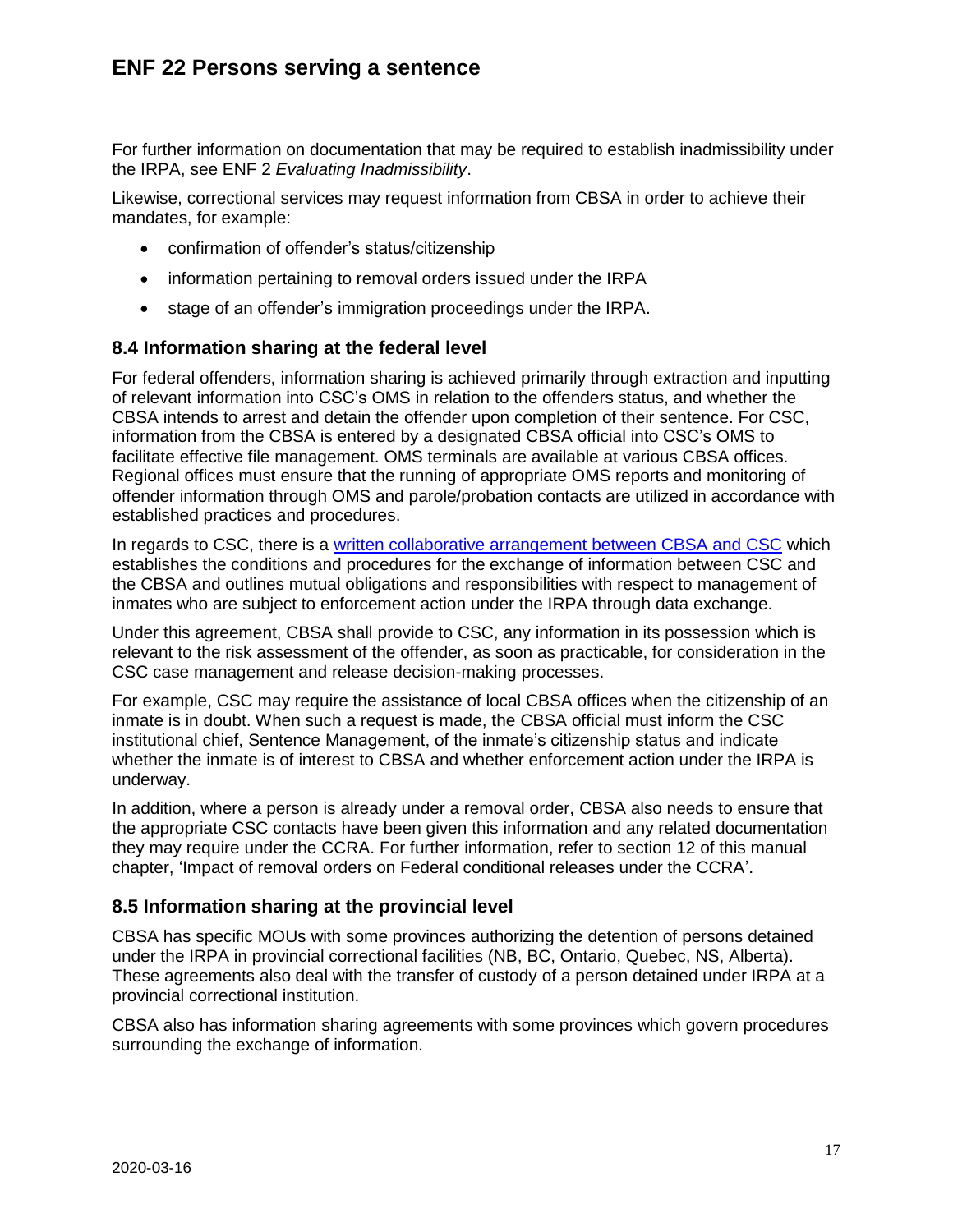For further information on documentation that may be required to establish inadmissibility under the IRPA, see ENF 2 *Evaluating Inadmissibility*.

Likewise, correctional services may request information from CBSA in order to achieve their mandates, for example:

- confirmation of offender's status/citizenship
- information pertaining to removal orders issued under the IRPA
- stage of an offender's immigration proceedings under the IRPA.

### <span id="page-16-0"></span>**8.4 Information sharing at the federal level**

For federal offenders, information sharing is achieved primarily through extraction and inputting of relevant information into CSC's OMS in relation to the offenders status, and whether the CBSA intends to arrest and detain the offender upon completion of their sentence. For CSC, information from the CBSA is entered by a designated CBSA official into CSC's OMS to facilitate effective file management. OMS terminals are available at various CBSA offices. Regional offices must ensure that the running of appropriate OMS reports and monitoring of offender information through OMS and parole/probation contacts are utilized in accordance with established practices and procedures.

In regards to CSC, there is a [written collaborative arrangement](http://atlas/spb-dgps/res/toolkit-outils/partnership-partenariat/wca-ece/invent_eng.asp?c=0&r=pen) between CBSA and CSC which establishes the conditions and procedures for the exchange of information between CSC and the CBSA and outlines mutual obligations and responsibilities with respect to management of inmates who are subject to enforcement action under the IRPA through data exchange.

Under this agreement, CBSA shall provide to CSC, any information in its possession which is relevant to the risk assessment of the offender, as soon as practicable, for consideration in the CSC case management and release decision-making processes.

For example, CSC may require the assistance of local CBSA offices when the citizenship of an inmate is in doubt. When such a request is made, the CBSA official must inform the CSC institutional chief, Sentence Management, of the inmate's citizenship status and indicate whether the inmate is of interest to CBSA and whether enforcement action under the IRPA is underway.

In addition, where a person is already under a removal order, CBSA also needs to ensure that the appropriate CSC contacts have been given this information and any related documentation they may require under the CCRA. For further information, refer to section 12 of this manual chapter, 'Impact of removal orders on Federal conditional releases under the CCRA'.

### <span id="page-16-1"></span>**8.5 Information sharing at the provincial level**

CBSA has specific MOUs with some provinces authorizing the detention of persons detained under the IRPA in provincial correctional facilities (NB, BC, Ontario, Quebec, NS, Alberta). These agreements also deal with the transfer of custody of a person detained under IRPA at a provincial correctional institution.

CBSA also has information sharing agreements with some provinces which govern procedures surrounding the exchange of information.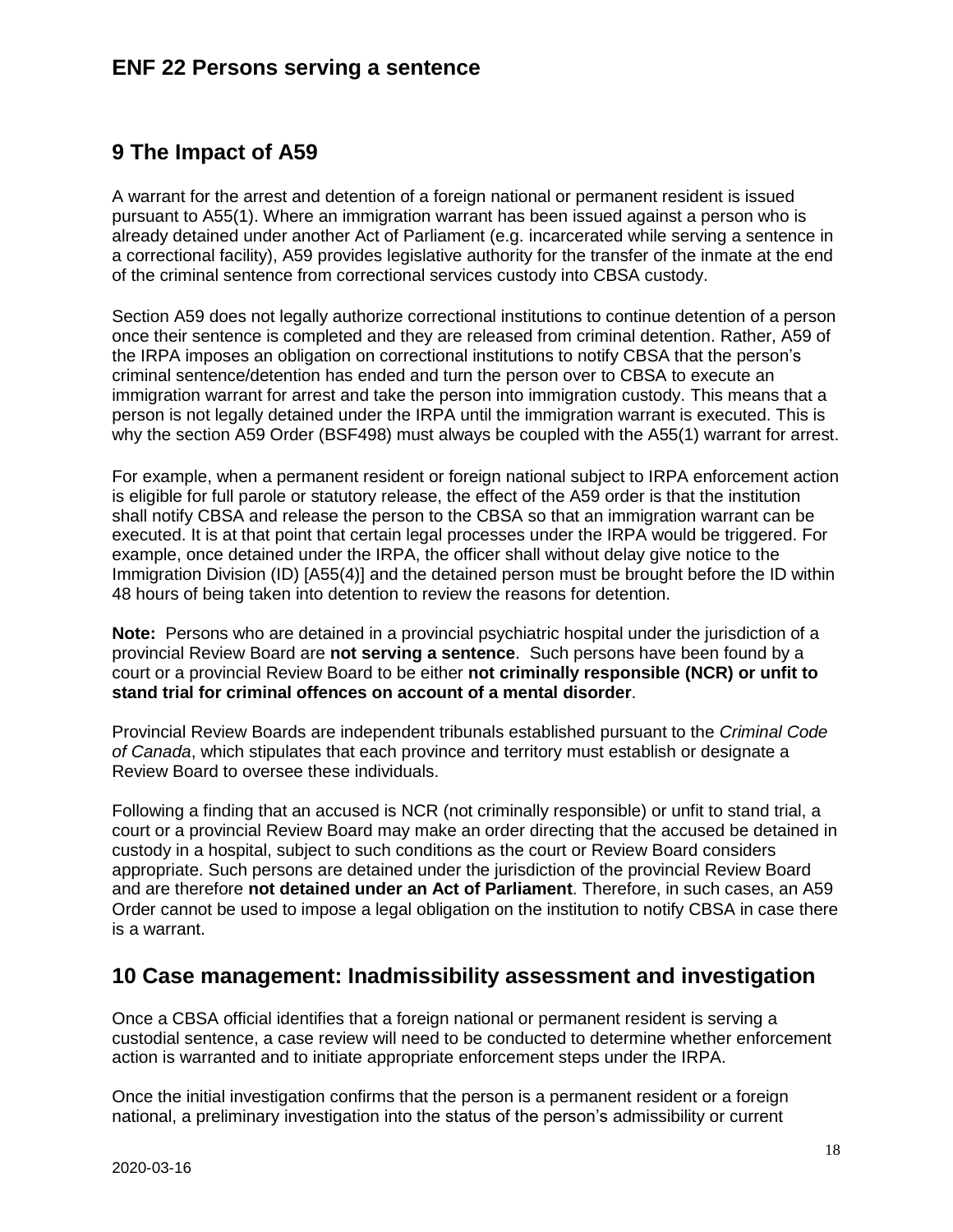# <span id="page-17-0"></span>**9 The Impact of A59**

A warrant for the arrest and detention of a foreign national or permanent resident is issued pursuant to A55(1). Where an immigration warrant has been issued against a person who is already detained under another Act of Parliament (e.g. incarcerated while serving a sentence in a correctional facility), A59 provides legislative authority for the transfer of the inmate at the end of the criminal sentence from correctional services custody into CBSA custody.

Section A59 does not legally authorize correctional institutions to continue detention of a person once their sentence is completed and they are released from criminal detention. Rather, A59 of the IRPA imposes an obligation on correctional institutions to notify CBSA that the person's criminal sentence/detention has ended and turn the person over to CBSA to execute an immigration warrant for arrest and take the person into immigration custody. This means that a person is not legally detained under the IRPA until the immigration warrant is executed. This is why the section A59 Order (BSF498) must always be coupled with the A55(1) warrant for arrest.

For example, when a permanent resident or foreign national subject to IRPA enforcement action is eligible for full parole or statutory release, the effect of the A59 order is that the institution shall notify CBSA and release the person to the CBSA so that an immigration warrant can be executed. It is at that point that certain legal processes under the IRPA would be triggered. For example, once detained under the IRPA, the officer shall without delay give notice to the Immigration Division (ID) [A55(4)] and the detained person must be brought before the ID within 48 hours of being taken into detention to review the reasons for detention.

**Note:** Persons who are detained in a provincial psychiatric hospital under the jurisdiction of a provincial Review Board are **not serving a sentence**. Such persons have been found by a court or a provincial Review Board to be either **not criminally responsible (NCR) or unfit to stand trial for criminal offences on account of a mental disorder**.

Provincial Review Boards are independent tribunals established pursuant to the *Criminal Code of Canada*, which stipulates that each province and territory must establish or designate a Review Board to oversee these individuals.

Following a finding that an accused is NCR (not criminally responsible) or unfit to stand trial, a court or a provincial Review Board may make an order directing that the accused be detained in custody in a hospital, subject to such conditions as the court or Review Board considers appropriate. Such persons are detained under the jurisdiction of the provincial Review Board and are therefore **not detained under an Act of Parliament**. Therefore, in such cases, an A59 Order cannot be used to impose a legal obligation on the institution to notify CBSA in case there is a warrant.

## <span id="page-17-1"></span>**10 Case management: Inadmissibility assessment and investigation**

Once a CBSA official identifies that a foreign national or permanent resident is serving a custodial sentence, a case review will need to be conducted to determine whether enforcement action is warranted and to initiate appropriate enforcement steps under the IRPA.

Once the initial investigation confirms that the person is a permanent resident or a foreign national, a preliminary investigation into the status of the person's admissibility or current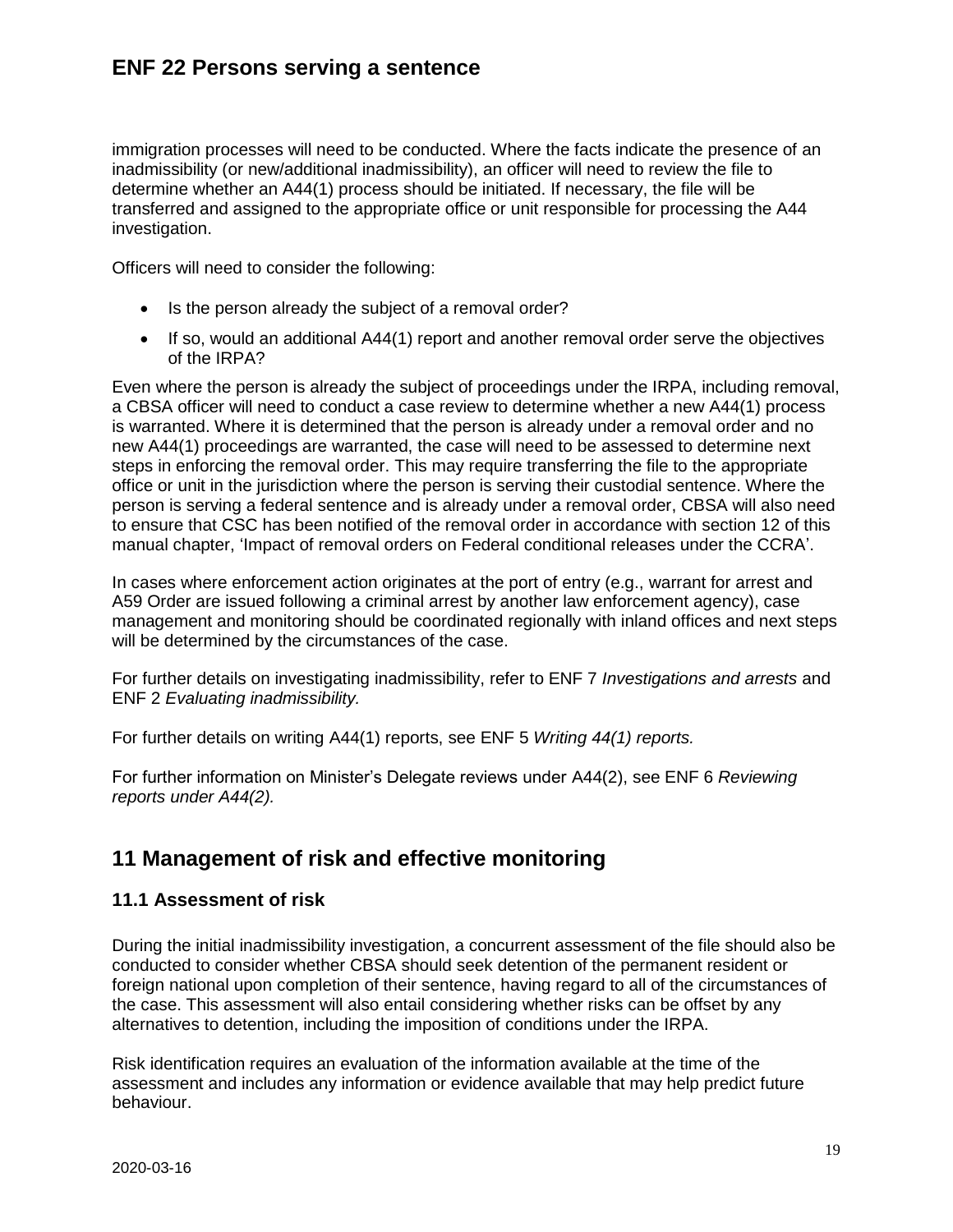immigration processes will need to be conducted. Where the facts indicate the presence of an inadmissibility (or new/additional inadmissibility), an officer will need to review the file to determine whether an A44(1) process should be initiated. If necessary, the file will be transferred and assigned to the appropriate office or unit responsible for processing the A44 investigation.

Officers will need to consider the following:

- Is the person already the subject of a removal order?
- If so, would an additional A44(1) report and another removal order serve the objectives of the IRPA?

Even where the person is already the subject of proceedings under the IRPA, including removal, a CBSA officer will need to conduct a case review to determine whether a new A44(1) process is warranted. Where it is determined that the person is already under a removal order and no new A44(1) proceedings are warranted, the case will need to be assessed to determine next steps in enforcing the removal order. This may require transferring the file to the appropriate office or unit in the jurisdiction where the person is serving their custodial sentence. Where the person is serving a federal sentence and is already under a removal order, CBSA will also need to ensure that CSC has been notified of the removal order in accordance with section 12 of this manual chapter, 'Impact of removal orders on Federal conditional releases under the CCRA'.

In cases where enforcement action originates at the port of entry (e.g., warrant for arrest and A59 Order are issued following a criminal arrest by another law enforcement agency), case management and monitoring should be coordinated regionally with inland offices and next steps will be determined by the circumstances of the case.

For further details on investigating inadmissibility, refer to ENF 7 *Investigations and arrests* and ENF 2 *Evaluating inadmissibility.*

For further details on writing A44(1) reports, see ENF 5 *Writing 44(1) reports.*

For further information on Minister's Delegate reviews under A44(2), see ENF 6 *Reviewing reports under A44(2).*

## <span id="page-18-0"></span>**11 Management of risk and effective monitoring**

#### <span id="page-18-1"></span>**11.1 Assessment of risk**

During the initial inadmissibility investigation, a concurrent assessment of the file should also be conducted to consider whether CBSA should seek detention of the permanent resident or foreign national upon completion of their sentence, having regard to all of the circumstances of the case. This assessment will also entail considering whether risks can be offset by any alternatives to detention, including the imposition of conditions under the IRPA.

Risk identification requires an evaluation of the information available at the time of the assessment and includes any information or evidence available that may help predict future behaviour.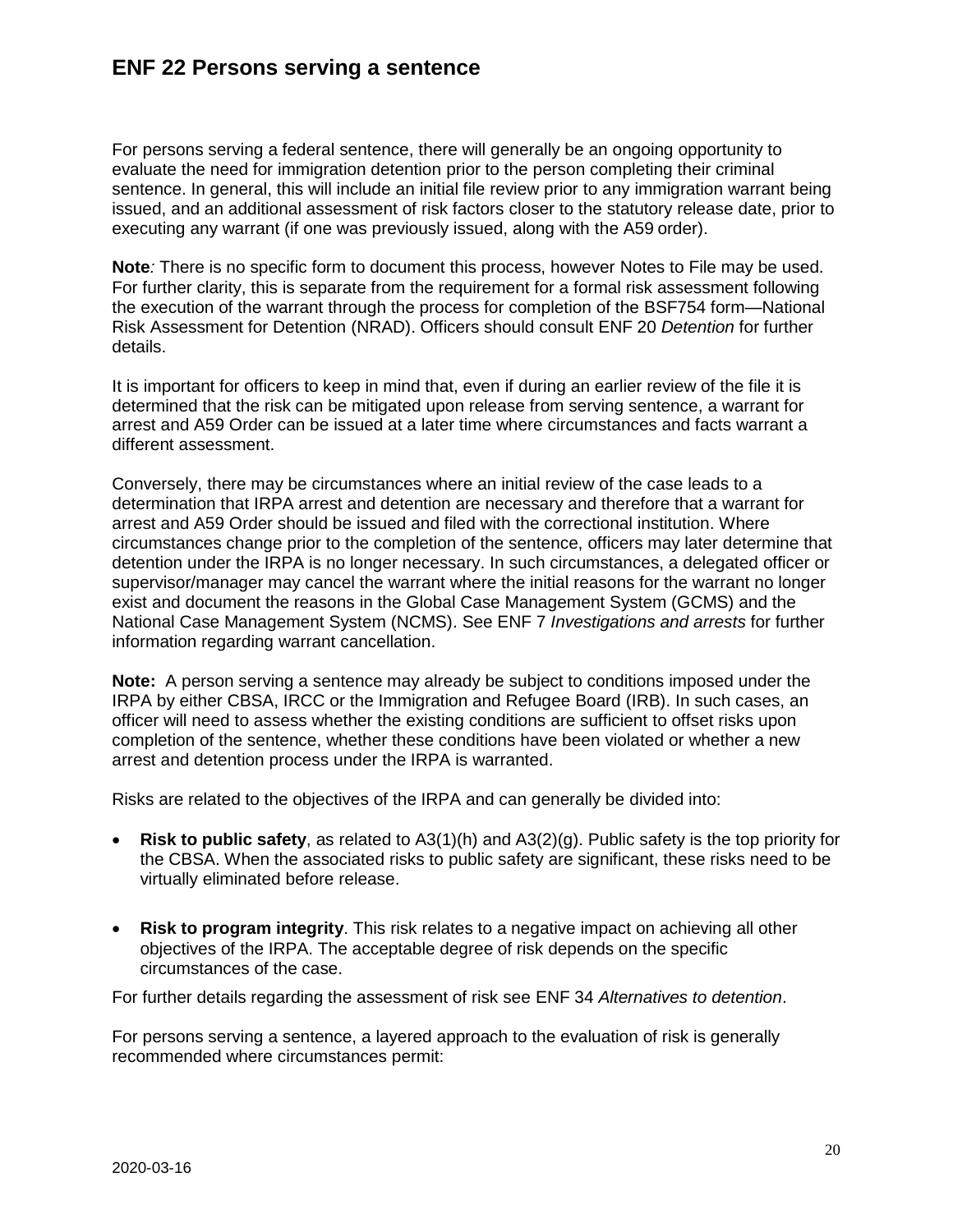For persons serving a federal sentence, there will generally be an ongoing opportunity to evaluate the need for immigration detention prior to the person completing their criminal sentence. In general, this will include an initial file review prior to any immigration warrant being issued, and an additional assessment of risk factors closer to the statutory release date, prior to executing any warrant (if one was previously issued, along with the A59 order).

**Note***:* There is no specific form to document this process, however Notes to File may be used. For further clarity, this is separate from the requirement for a formal risk assessment following the execution of the warrant through the process for completion of the BSF754 form—National Risk Assessment for Detention (NRAD). Officers should consult ENF 20 *Detention* for further details.

It is important for officers to keep in mind that, even if during an earlier review of the file it is determined that the risk can be mitigated upon release from serving sentence, a warrant for arrest and A59 Order can be issued at a later time where circumstances and facts warrant a different assessment.

Conversely, there may be circumstances where an initial review of the case leads to a determination that IRPA arrest and detention are necessary and therefore that a warrant for arrest and A59 Order should be issued and filed with the correctional institution. Where circumstances change prior to the completion of the sentence, officers may later determine that detention under the IRPA is no longer necessary. In such circumstances, a delegated officer or supervisor/manager may cancel the warrant where the initial reasons for the warrant no longer exist and document the reasons in the Global Case Management System (GCMS) and the National Case Management System (NCMS). See ENF 7 *Investigations and arrests* for further information regarding warrant cancellation.

**Note:** A person serving a sentence may already be subject to conditions imposed under the IRPA by either CBSA, IRCC or the Immigration and Refugee Board (IRB). In such cases, an officer will need to assess whether the existing conditions are sufficient to offset risks upon completion of the sentence, whether these conditions have been violated or whether a new arrest and detention process under the IRPA is warranted.

Risks are related to the objectives of the IRPA and can generally be divided into:

- **Risk to public safety**, as related to A3(1)(h) and A3(2)(g). Public safety is the top priority for the CBSA. When the associated risks to public safety are significant, these risks need to be virtually eliminated before release.
- **Risk to program integrity**. This risk relates to a negative impact on achieving all other objectives of the IRPA. The acceptable degree of risk depends on the specific circumstances of the case.

For further details regarding the assessment of risk see ENF 34 *Alternatives to detention*.

For persons serving a sentence, a layered approach to the evaluation of risk is generally recommended where circumstances permit: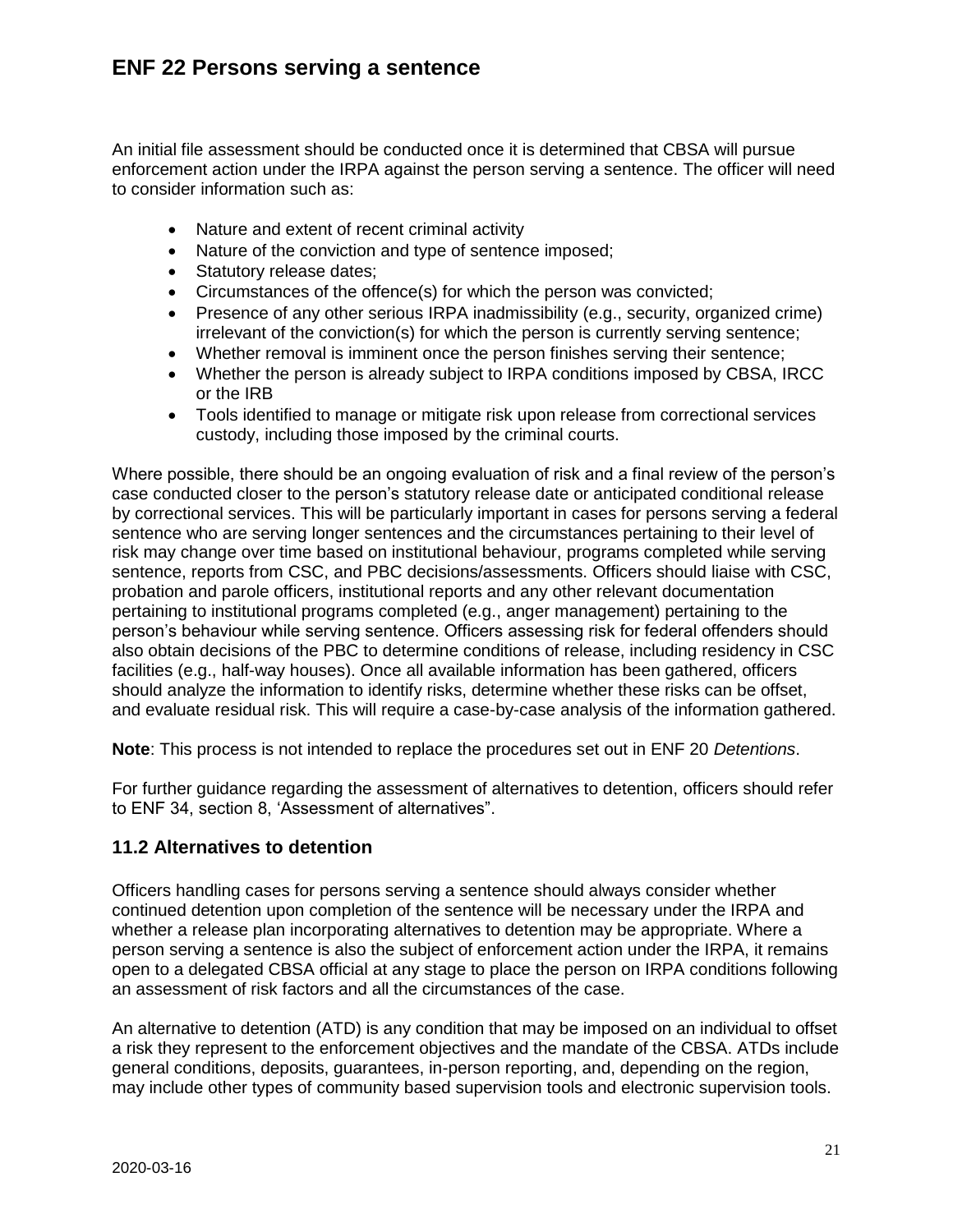An initial file assessment should be conducted once it is determined that CBSA will pursue enforcement action under the IRPA against the person serving a sentence. The officer will need to consider information such as:

- Nature and extent of recent criminal activity
- Nature of the conviction and type of sentence imposed;
- Statutory release dates;
- Circumstances of the offence(s) for which the person was convicted;
- Presence of any other serious IRPA inadmissibility (e.g., security, organized crime) irrelevant of the conviction(s) for which the person is currently serving sentence;
- Whether removal is imminent once the person finishes serving their sentence;
- Whether the person is already subject to IRPA conditions imposed by CBSA, IRCC or the IRB
- Tools identified to manage or mitigate risk upon release from correctional services custody, including those imposed by the criminal courts.

Where possible, there should be an ongoing evaluation of risk and a final review of the person's case conducted closer to the person's statutory release date or anticipated conditional release by correctional services. This will be particularly important in cases for persons serving a federal sentence who are serving longer sentences and the circumstances pertaining to their level of risk may change over time based on institutional behaviour, programs completed while serving sentence, reports from CSC, and PBC decisions/assessments. Officers should liaise with CSC, probation and parole officers, institutional reports and any other relevant documentation pertaining to institutional programs completed (e.g., anger management) pertaining to the person's behaviour while serving sentence. Officers assessing risk for federal offenders should also obtain decisions of the PBC to determine conditions of release, including residency in CSC facilities (e.g., half-way houses). Once all available information has been gathered, officers should analyze the information to identify risks, determine whether these risks can be offset, and evaluate residual risk. This will require a case-by-case analysis of the information gathered.

**Note**: This process is not intended to replace the procedures set out in ENF 20 *Detentions*.

For further guidance regarding the assessment of alternatives to detention, officers should refer to ENF 34, section 8, 'Assessment of alternatives".

### <span id="page-20-0"></span>**11.2 Alternatives to detention**

Officers handling cases for persons serving a sentence should always consider whether continued detention upon completion of the sentence will be necessary under the IRPA and whether a release plan incorporating alternatives to detention may be appropriate. Where a person serving a sentence is also the subject of enforcement action under the IRPA, it remains open to a delegated CBSA official at any stage to place the person on IRPA conditions following an assessment of risk factors and all the circumstances of the case.

An alternative to detention (ATD) is any condition that may be imposed on an individual to offset a risk they represent to the enforcement objectives and the mandate of the CBSA. ATDs include general conditions, deposits, guarantees, in-person reporting, and, depending on the region, may include other types of community based supervision tools and electronic supervision tools.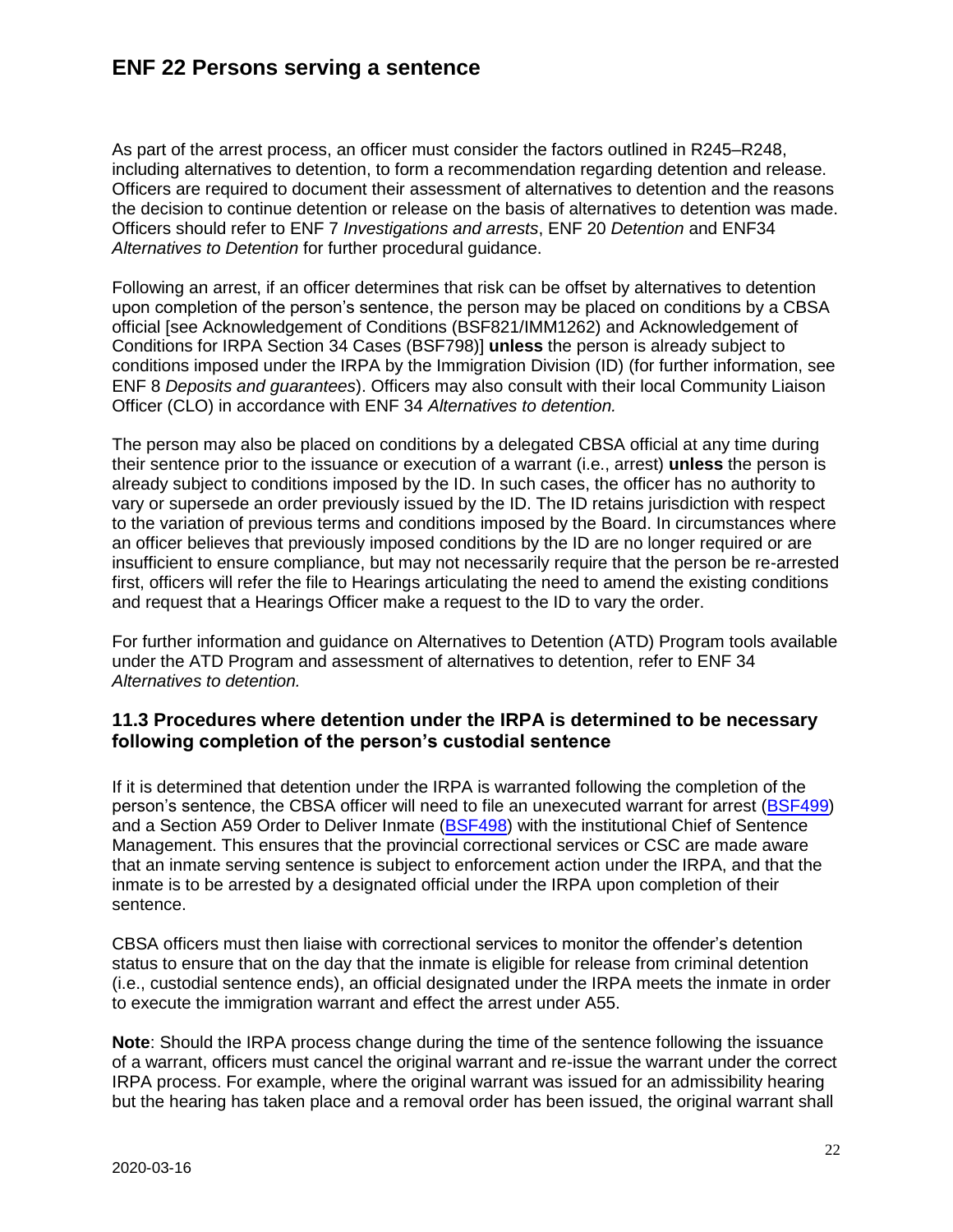As part of the arrest process, an officer must consider the factors outlined in R245–R248, including alternatives to detention, to form a recommendation regarding detention and release. Officers are required to document their assessment of alternatives to detention and the reasons the decision to continue detention or release on the basis of alternatives to detention was made. Officers should refer to ENF 7 *Investigations and arrests*, ENF 20 *Detention* and ENF34 *Alternatives to Detention* for further procedural guidance.

Following an arrest, if an officer determines that risk can be offset by alternatives to detention upon completion of the person's sentence, the person may be placed on conditions by a CBSA official [see Acknowledgement of Conditions (BSF821/IMM1262) and Acknowledgement of Conditions for IRPA Section 34 Cases (BSF798)] **unless** the person is already subject to conditions imposed under the IRPA by the Immigration Division (ID) (for further information, see ENF 8 *Deposits and guarantees*). Officers may also consult with their local Community Liaison Officer (CLO) in accordance with ENF 34 *Alternatives to detention.* 

The person may also be placed on conditions by a delegated CBSA official at any time during their sentence prior to the issuance or execution of a warrant (i.e., arrest) **unless** the person is already subject to conditions imposed by the ID. In such cases, the officer has no authority to vary or supersede an order previously issued by the ID. The ID retains jurisdiction with respect to the variation of previous terms and conditions imposed by the Board. In circumstances where an officer believes that previously imposed conditions by the ID are no longer required or are insufficient to ensure compliance, but may not necessarily require that the person be re-arrested first, officers will refer the file to Hearings articulating the need to amend the existing conditions and request that a Hearings Officer make a request to the ID to vary the order.

For further information and guidance on Alternatives to Detention (ATD) Program tools available under the ATD Program and assessment of alternatives to detention, refer to ENF 34 *Alternatives to detention.*

#### <span id="page-21-0"></span>**11.3 Procedures where detention under the IRPA is determined to be necessary following completion of the person's custodial sentence**

If it is determined that detention under the IRPA is warranted following the completion of the person's sentence, the CBSA officer will need to file an unexecuted warrant for arrest [\(BSF499\)](http://atlas/forms-formulaires/eb-dgel/bsf499.pdf) and a Section A59 Order to Deliver Inmate [\(BSF498\)](http://atlas/forms-formulaires/eb-dgel/bsf498.pdf) with the institutional Chief of Sentence Management. This ensures that the provincial correctional services or CSC are made aware that an inmate serving sentence is subject to enforcement action under the IRPA, and that the inmate is to be arrested by a designated official under the IRPA upon completion of their sentence.

CBSA officers must then liaise with correctional services to monitor the offender's detention status to ensure that on the day that the inmate is eligible for release from criminal detention (i.e., custodial sentence ends), an official designated under the IRPA meets the inmate in order to execute the immigration warrant and effect the arrest under A55.

**Note**: Should the IRPA process change during the time of the sentence following the issuance of a warrant, officers must cancel the original warrant and re-issue the warrant under the correct IRPA process. For example, where the original warrant was issued for an admissibility hearing but the hearing has taken place and a removal order has been issued, the original warrant shall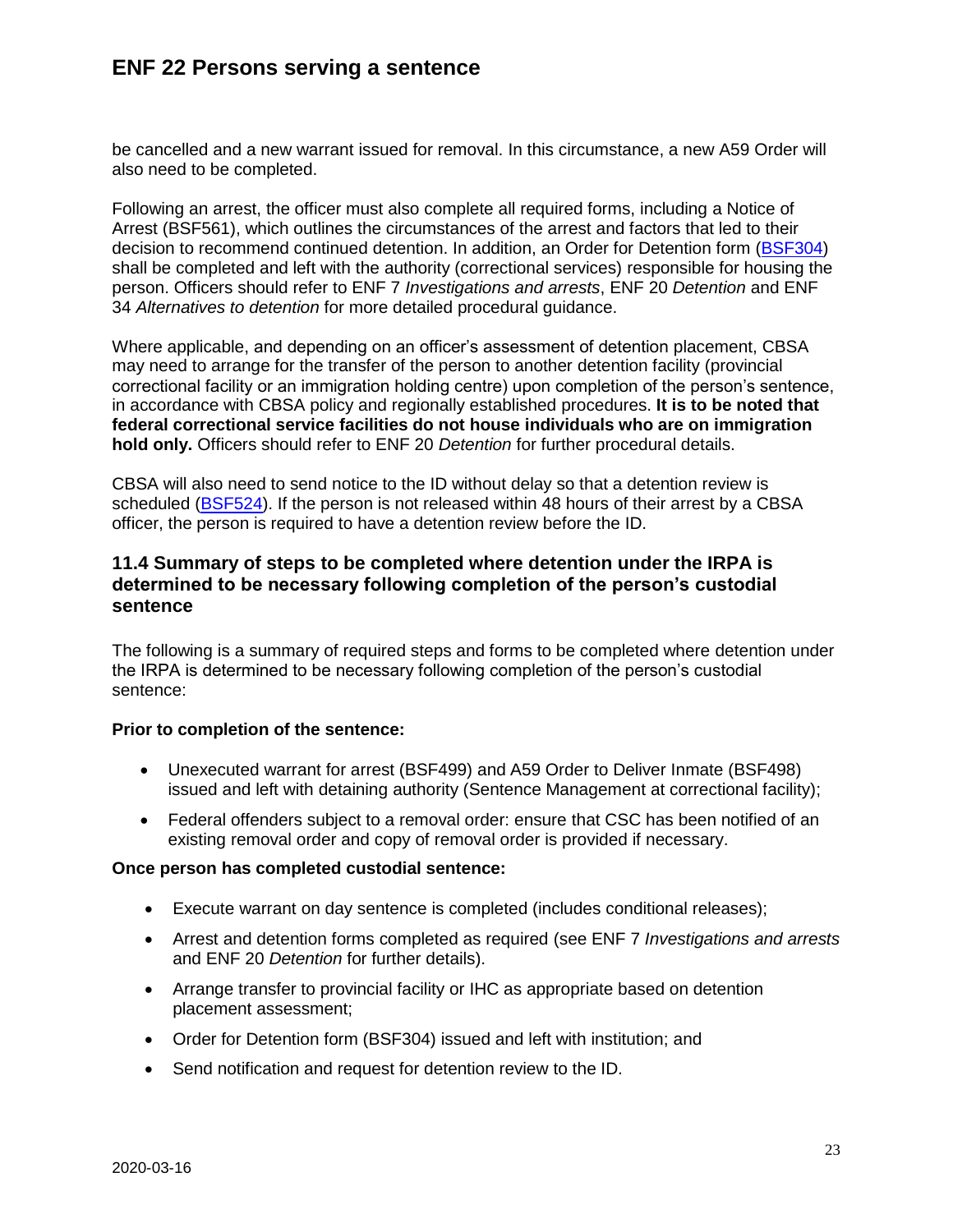be cancelled and a new warrant issued for removal. In this circumstance, a new A59 Order will also need to be completed.

Following an arrest, the officer must also complete all required forms, including a Notice of Arrest (BSF561), which outlines the circumstances of the arrest and factors that led to their decision to recommend continued detention. In addition, an Order for Detention form [\(BSF304\)](http://atlas/forms-formulaires/eb-dgel/bsf304.pdf) shall be completed and left with the authority (correctional services) responsible for housing the person. Officers should refer to ENF 7 *Investigations and arrests*, ENF 20 *Detention* and ENF 34 *Alternatives to detention* for more detailed procedural guidance.

Where applicable, and depending on an officer's assessment of detention placement, CBSA may need to arrange for the transfer of the person to another detention facility (provincial correctional facility or an immigration holding centre) upon completion of the person's sentence, in accordance with CBSA policy and regionally established procedures. **It is to be noted that federal correctional service facilities do not house individuals who are on immigration hold only.** Officers should refer to ENF 20 *Detention* for further procedural details.

CBSA will also need to send notice to the ID without delay so that a detention review is scheduled [\(BSF524\)](http://atlas/forms-formulaires/eb-dgel/bsf524.pdf). If the person is not released within 48 hours of their arrest by a CBSA officer, the person is required to have a detention review before the ID.

#### <span id="page-22-0"></span>**11.4 Summary of steps to be completed where detention under the IRPA is determined to be necessary following completion of the person's custodial sentence**

The following is a summary of required steps and forms to be completed where detention under the IRPA is determined to be necessary following completion of the person's custodial sentence:

#### **Prior to completion of the sentence:**

- Unexecuted warrant for arrest (BSF499) and A59 Order to Deliver Inmate (BSF498) issued and left with detaining authority (Sentence Management at correctional facility);
- Federal offenders subject to a removal order: ensure that CSC has been notified of an existing removal order and copy of removal order is provided if necessary.

#### **Once person has completed custodial sentence:**

- Execute warrant on day sentence is completed (includes conditional releases);
- Arrest and detention forms completed as required (see ENF 7 *Investigations and arrests* and ENF 20 *Detention* for further details).
- Arrange transfer to provincial facility or IHC as appropriate based on detention placement assessment;
- Order for Detention form (BSF304) issued and left with institution; and
- Send notification and request for detention review to the ID.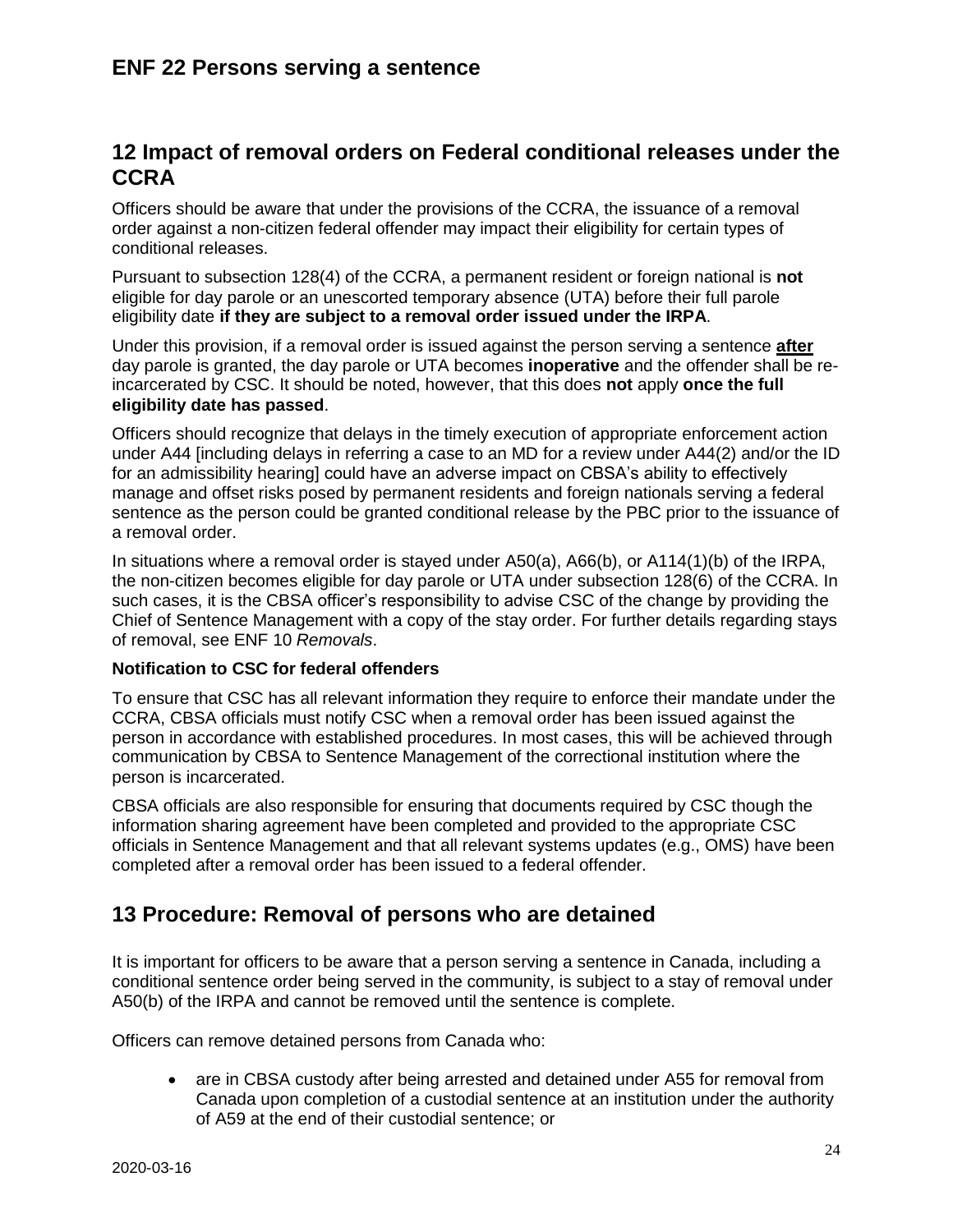# <span id="page-23-0"></span>**12 Impact of removal orders on Federal conditional releases under the CCRA**

Officers should be aware that under the provisions of the CCRA, the issuance of a removal order against a non-citizen federal offender may impact their eligibility for certain types of conditional releases.

Pursuant to subsection 128(4) of the CCRA, a permanent resident or foreign national is **not**  eligible for day parole or an unescorted temporary absence (UTA) before their full parole eligibility date **if they are subject to a removal order issued under the IRPA**.

Under this provision, if a removal order is issued against the person serving a sentence **after** day parole is granted, the day parole or UTA becomes **inoperative** and the offender shall be reincarcerated by CSC. It should be noted, however, that this does **not** apply **once the full eligibility date has passed**.

Officers should recognize that delays in the timely execution of appropriate enforcement action under A44 [including delays in referring a case to an MD for a review under A44(2) and/or the ID for an admissibility hearing] could have an adverse impact on CBSA's ability to effectively manage and offset risks posed by permanent residents and foreign nationals serving a federal sentence as the person could be granted conditional release by the PBC prior to the issuance of a removal order.

In situations where a removal order is stayed under A50(a), A66(b), or A114(1)(b) of the IRPA, the non-citizen becomes eligible for day parole or UTA under subsection 128(6) of the CCRA. In such cases, it is the CBSA officer's responsibility to advise CSC of the change by providing the Chief of Sentence Management with a copy of the stay order. For further details regarding stays of removal, see ENF 10 *Removals*.

#### **Notification to CSC for federal offenders**

To ensure that CSC has all relevant information they require to enforce their mandate under the CCRA, CBSA officials must notify CSC when a removal order has been issued against the person in accordance with established procedures. In most cases, this will be achieved through communication by CBSA to Sentence Management of the correctional institution where the person is incarcerated.

CBSA officials are also responsible for ensuring that documents required by CSC though the information sharing agreement have been completed and provided to the appropriate CSC officials in Sentence Management and that all relevant systems updates (e.g., OMS) have been completed after a removal order has been issued to a federal offender.

## <span id="page-23-1"></span>**13 Procedure: Removal of persons who are detained**

It is important for officers to be aware that a person serving a sentence in Canada, including a conditional sentence order being served in the community, is subject to a stay of removal under A50(b) of the IRPA and cannot be removed until the sentence is complete.

Officers can remove detained persons from Canada who:

• are in CBSA custody after being arrested and detained under A55 for removal from Canada upon completion of a custodial sentence at an institution under the authority of A59 at the end of their custodial sentence; or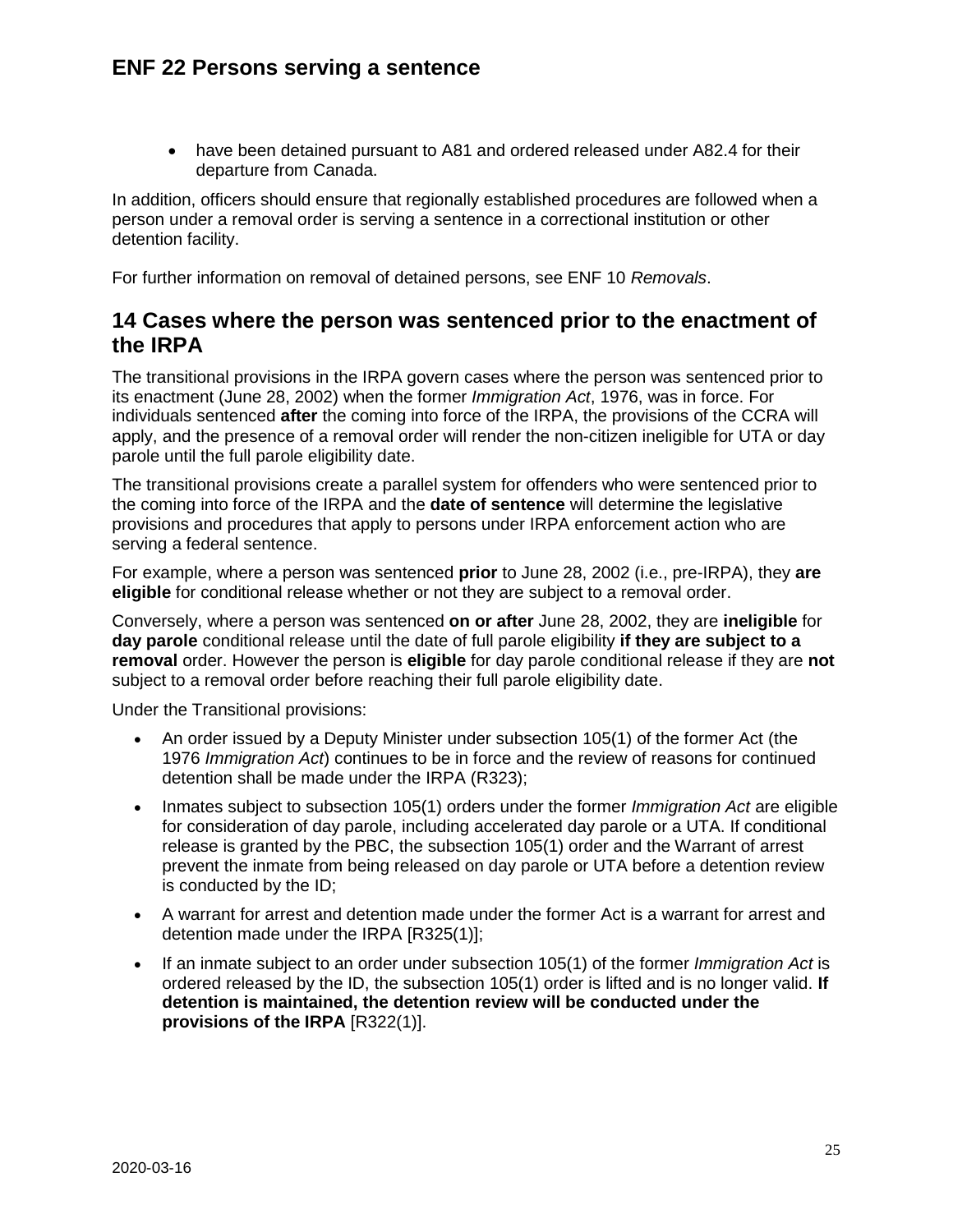have been detained pursuant to A81 and ordered released under A82.4 for their departure from Canada.

In addition, officers should ensure that regionally established procedures are followed when a person under a removal order is serving a sentence in a correctional institution or other detention facility.

For further information on removal of detained persons, see ENF 10 *Removals*.

### <span id="page-24-0"></span>**14 Cases where the person was sentenced prior to the enactment of the IRPA**

The transitional provisions in the IRPA govern cases where the person was sentenced prior to its enactment (June 28, 2002) when the former *Immigration Act*, 1976, was in force. For individuals sentenced **after** the coming into force of the IRPA, the provisions of the CCRA will apply, and the presence of a removal order will render the non-citizen ineligible for UTA or day parole until the full parole eligibility date.

The transitional provisions create a parallel system for offenders who were sentenced prior to the coming into force of the IRPA and the **date of sentence** will determine the legislative provisions and procedures that apply to persons under IRPA enforcement action who are serving a federal sentence.

For example, where a person was sentenced **prior** to June 28, 2002 (i.e., pre-IRPA), they **are eligible** for conditional release whether or not they are subject to a removal order.

Conversely, where a person was sentenced **on or after** June 28, 2002, they are **ineligible** for **day parole** conditional release until the date of full parole eligibility **if they are subject to a removal** order. However the person is **eligible** for day parole conditional release if they are **not** subject to a removal order before reaching their full parole eligibility date.

Under the Transitional provisions:

- An order issued by a Deputy Minister under subsection 105(1) of the former Act (the 1976 *Immigration Act*) continues to be in force and the review of reasons for continued detention shall be made under the IRPA (R323);
- Inmates subject to subsection 105(1) orders under the former *Immigration Act* are eligible for consideration of day parole, including accelerated day parole or a UTA. If conditional release is granted by the PBC, the subsection 105(1) order and the Warrant of arrest prevent the inmate from being released on day parole or UTA before a detention review is conducted by the ID;
- A warrant for arrest and detention made under the former Act is a warrant for arrest and detention made under the IRPA [R325(1)];
- If an inmate subject to an order under subsection 105(1) of the former *Immigration Act* is ordered released by the ID, the subsection 105(1) order is lifted and is no longer valid. **If detention is maintained, the detention review will be conducted under the provisions of the IRPA** [R322(1)].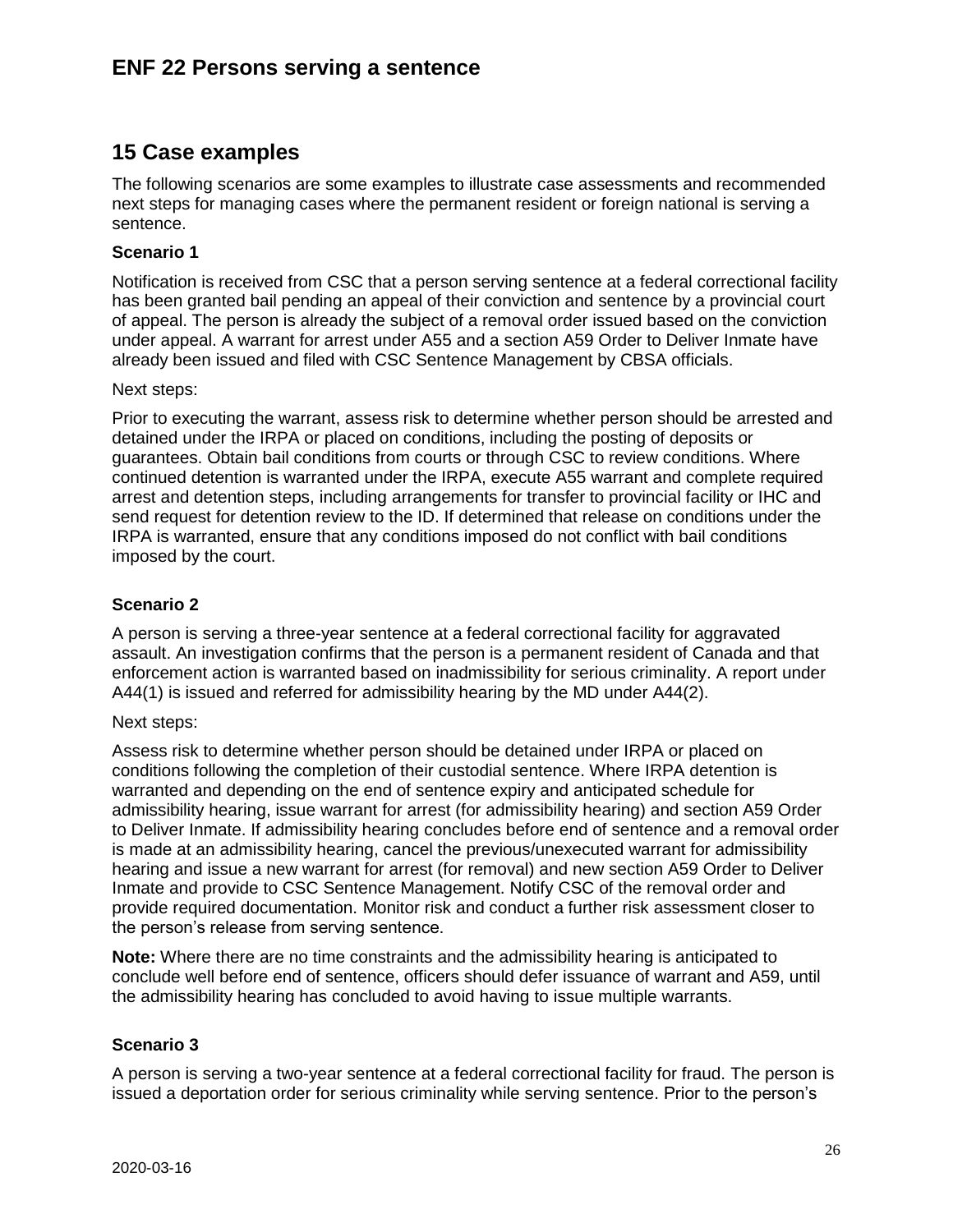# <span id="page-25-0"></span>**15 Case examples**

The following scenarios are some examples to illustrate case assessments and recommended next steps for managing cases where the permanent resident or foreign national is serving a sentence.

#### **Scenario 1**

Notification is received from CSC that a person serving sentence at a federal correctional facility has been granted bail pending an appeal of their conviction and sentence by a provincial court of appeal. The person is already the subject of a removal order issued based on the conviction under appeal. A warrant for arrest under A55 and a section A59 Order to Deliver Inmate have already been issued and filed with CSC Sentence Management by CBSA officials.

#### Next steps:

Prior to executing the warrant, assess risk to determine whether person should be arrested and detained under the IRPA or placed on conditions, including the posting of deposits or guarantees. Obtain bail conditions from courts or through CSC to review conditions. Where continued detention is warranted under the IRPA, execute A55 warrant and complete required arrest and detention steps, including arrangements for transfer to provincial facility or IHC and send request for detention review to the ID. If determined that release on conditions under the IRPA is warranted, ensure that any conditions imposed do not conflict with bail conditions imposed by the court.

#### **Scenario 2**

A person is serving a three-year sentence at a federal correctional facility for aggravated assault. An investigation confirms that the person is a permanent resident of Canada and that enforcement action is warranted based on inadmissibility for serious criminality. A report under A44(1) is issued and referred for admissibility hearing by the MD under A44(2).

#### Next steps:

Assess risk to determine whether person should be detained under IRPA or placed on conditions following the completion of their custodial sentence. Where IRPA detention is warranted and depending on the end of sentence expiry and anticipated schedule for admissibility hearing, issue warrant for arrest (for admissibility hearing) and section A59 Order to Deliver Inmate. If admissibility hearing concludes before end of sentence and a removal order is made at an admissibility hearing, cancel the previous/unexecuted warrant for admissibility hearing and issue a new warrant for arrest (for removal) and new section A59 Order to Deliver Inmate and provide to CSC Sentence Management. Notify CSC of the removal order and provide required documentation. Monitor risk and conduct a further risk assessment closer to the person's release from serving sentence.

**Note:** Where there are no time constraints and the admissibility hearing is anticipated to conclude well before end of sentence, officers should defer issuance of warrant and A59, until the admissibility hearing has concluded to avoid having to issue multiple warrants.

#### **Scenario 3**

A person is serving a two-year sentence at a federal correctional facility for fraud. The person is issued a deportation order for serious criminality while serving sentence. Prior to the person's